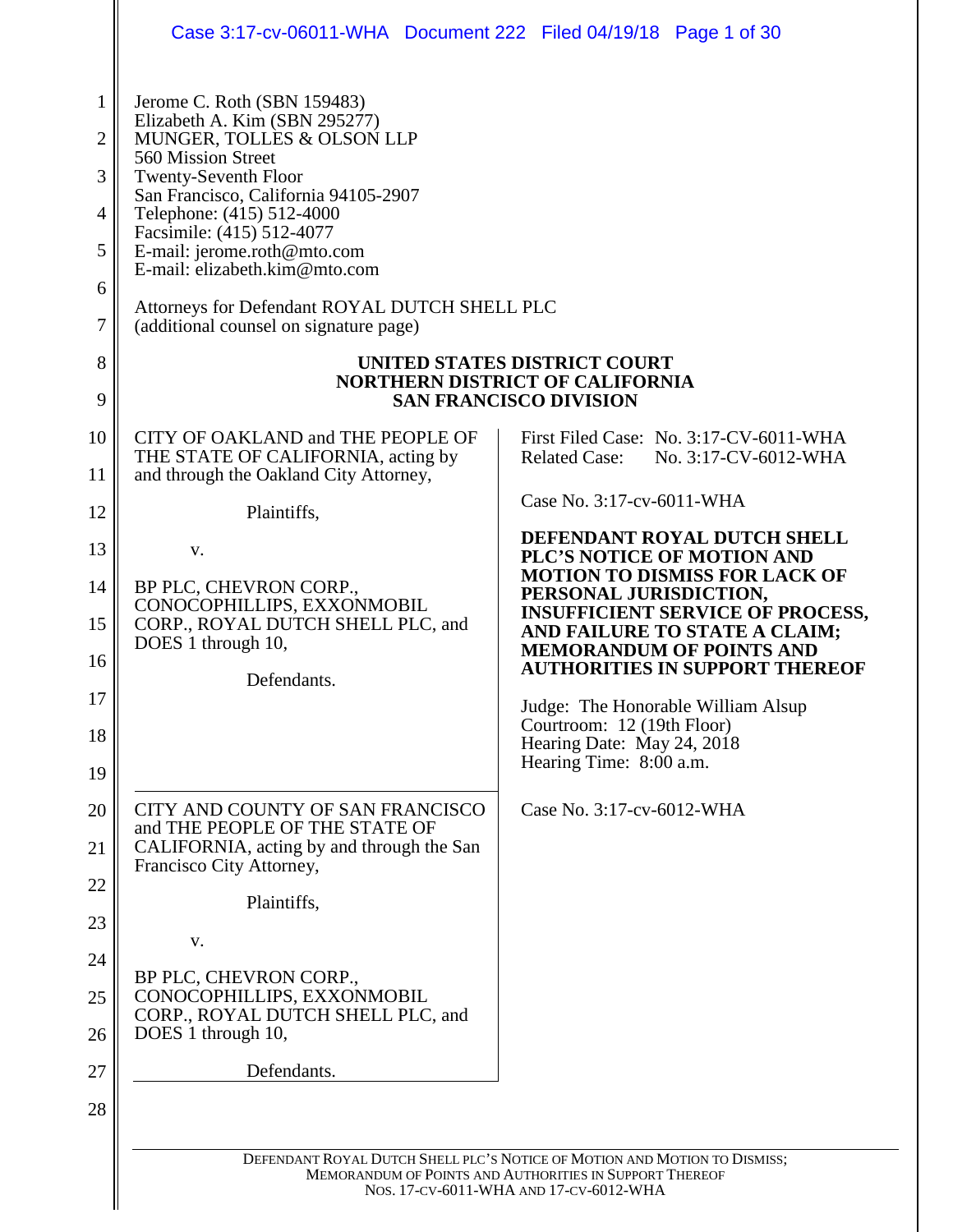|                                                                   | Case 3:17-cv-06011-WHA Document 222 Filed 04/19/18 Page 1 of 30                                                                                                                                                                                                                                                                                                                                              |                                                                                                                                                                                |
|-------------------------------------------------------------------|--------------------------------------------------------------------------------------------------------------------------------------------------------------------------------------------------------------------------------------------------------------------------------------------------------------------------------------------------------------------------------------------------------------|--------------------------------------------------------------------------------------------------------------------------------------------------------------------------------|
| $\mathbf{1}$<br>$\overline{2}$<br>3<br>4<br>5<br>6<br>7<br>8<br>9 | Jerome C. Roth (SBN 159483)<br>Elizabeth A. Kim (SBN 295277)<br>MUNGER, TOLLES & OLSON LLP<br>560 Mission Street<br><b>Twenty-Seventh Floor</b><br>San Francisco, California 94105-2907<br>Telephone: (415) 512-4000<br>Facsimile: (415) 512-4077<br>E-mail: jerome.roth@mto.com<br>E-mail: elizabeth.kim@mto.com<br>Attorneys for Defendant ROYAL DUTCH SHELL PLC<br>(additional counsel on signature page) | UNITED STATES DISTRICT COURT<br><b>NORTHERN DISTRICT OF CALIFORNIA</b><br><b>SAN FRANCISCO DIVISION</b>                                                                        |
| 10<br>11                                                          | CITY OF OAKLAND and THE PEOPLE OF<br>THE STATE OF CALIFORNIA, acting by<br>and through the Oakland City Attorney,                                                                                                                                                                                                                                                                                            | First Filed Case: No. 3:17-CV-6011-WHA<br><b>Related Case:</b><br>No. 3:17-CV-6012-WHA<br>Case No. 3:17-cv-6011-WHA                                                            |
| 12                                                                | Plaintiffs,                                                                                                                                                                                                                                                                                                                                                                                                  | DEFENDANT ROYAL DUTCH SHELL                                                                                                                                                    |
| 13                                                                | V.                                                                                                                                                                                                                                                                                                                                                                                                           | PLC'S NOTICE OF MOTION AND<br><b>MOTION TO DISMISS FOR LACK OF</b>                                                                                                             |
| 14<br>15                                                          | BP PLC, CHEVRON CORP.,<br>CONOCOPHILLIPS, EXXONMOBIL<br>CORP., ROYAL DUTCH SHELL PLC, and<br>DOES 1 through 10,                                                                                                                                                                                                                                                                                              | PERSONAL JURISDICTION,<br><b>INSUFFICIENT SERVICE OF PROCESS,</b><br>AND FAILURE TO STATE A CLAIM;                                                                             |
| 16                                                                | Defendants.                                                                                                                                                                                                                                                                                                                                                                                                  | <b>MEMORANDUM OF POINTS AND</b><br><b>AUTHORITIES IN SUPPORT THEREOF</b>                                                                                                       |
| 17<br>18                                                          |                                                                                                                                                                                                                                                                                                                                                                                                              | Judge: The Honorable William Alsup<br>Courtroom: 12 (19th Floor)<br>Hearing Date: May 24, 2018                                                                                 |
| 19                                                                |                                                                                                                                                                                                                                                                                                                                                                                                              | Hearing Time: 8:00 a.m.                                                                                                                                                        |
| 20<br>21                                                          | CITY AND COUNTY OF SAN FRANCISCO<br>and THE PEOPLE OF THE STATE OF<br>CALIFORNIA, acting by and through the San                                                                                                                                                                                                                                                                                              | Case No. 3:17-cv-6012-WHA                                                                                                                                                      |
| 22                                                                | Francisco City Attorney,                                                                                                                                                                                                                                                                                                                                                                                     |                                                                                                                                                                                |
| 23                                                                | Plaintiffs,                                                                                                                                                                                                                                                                                                                                                                                                  |                                                                                                                                                                                |
| 24                                                                | V.<br>BP PLC, CHEVRON CORP.,                                                                                                                                                                                                                                                                                                                                                                                 |                                                                                                                                                                                |
| 25                                                                | CONOCOPHILLIPS, EXXONMOBIL<br>CORP., ROYAL DUTCH SHELL PLC, and                                                                                                                                                                                                                                                                                                                                              |                                                                                                                                                                                |
| 26                                                                | DOES 1 through 10,                                                                                                                                                                                                                                                                                                                                                                                           |                                                                                                                                                                                |
| 27                                                                | Defendants.                                                                                                                                                                                                                                                                                                                                                                                                  |                                                                                                                                                                                |
| 28                                                                |                                                                                                                                                                                                                                                                                                                                                                                                              |                                                                                                                                                                                |
|                                                                   |                                                                                                                                                                                                                                                                                                                                                                                                              | DEFENDANT ROYAL DUTCH SHELL PLC'S NOTICE OF MOTION AND MOTION TO DISMISS;<br>MEMORANDUM OF POINTS AND AUTHORITIES IN SUPPORT THEREOF<br>NOS. 17-CV-6011-WHA AND 17-CV-6012-WHA |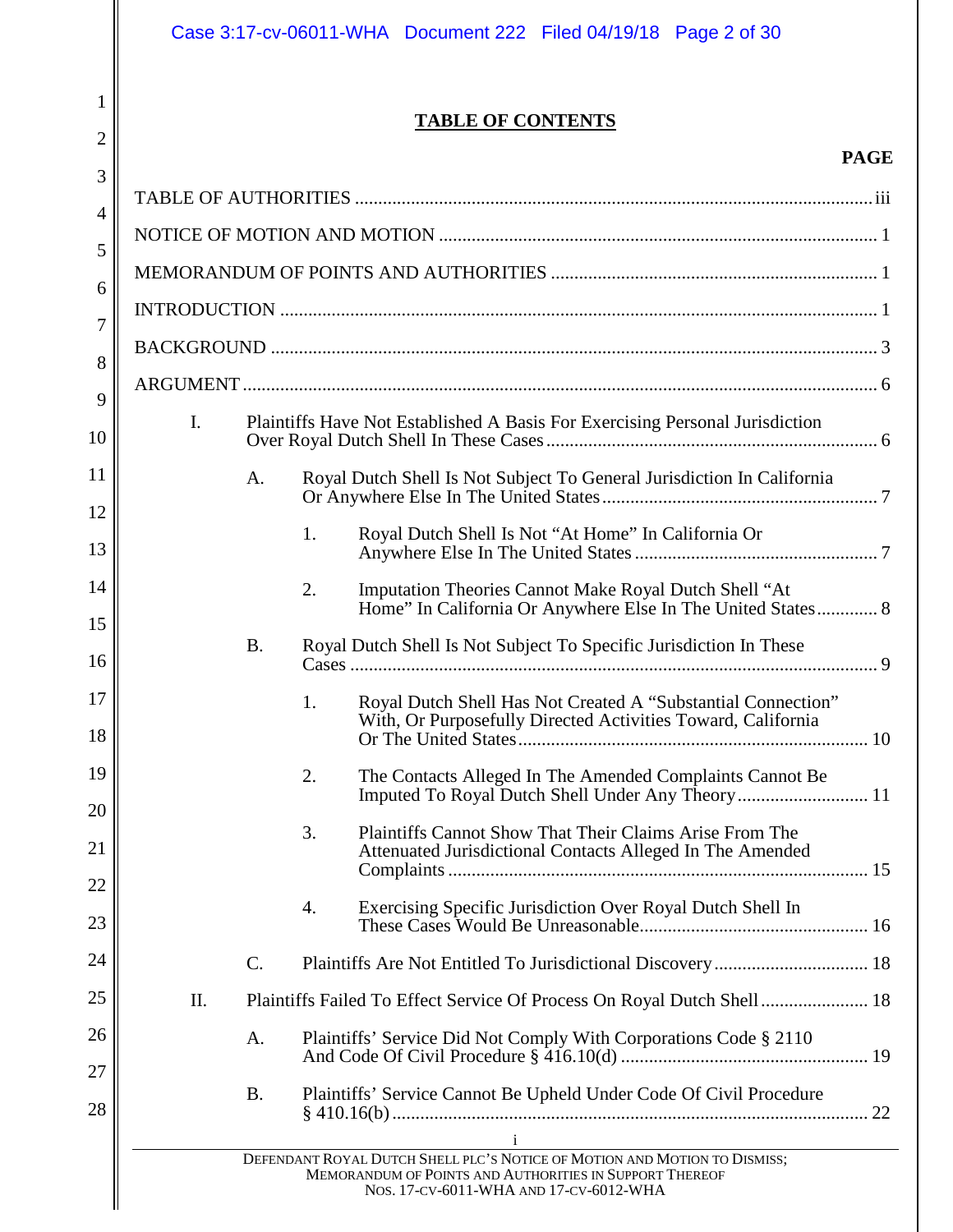2

# **TABLE OF CONTENTS**

# **PAGE**

| 3        |                                                                                                |           |                                                                                                                                    |  |
|----------|------------------------------------------------------------------------------------------------|-----------|------------------------------------------------------------------------------------------------------------------------------------|--|
| 4        |                                                                                                |           |                                                                                                                                    |  |
| 5        |                                                                                                |           |                                                                                                                                    |  |
| 6        |                                                                                                |           |                                                                                                                                    |  |
| 7        |                                                                                                |           |                                                                                                                                    |  |
| 8        |                                                                                                |           |                                                                                                                                    |  |
| 9<br>10  | $\mathbf{I}$ .<br>Plaintiffs Have Not Established A Basis For Exercising Personal Jurisdiction |           |                                                                                                                                    |  |
| 11       |                                                                                                | A.        | Royal Dutch Shell Is Not Subject To General Jurisdiction In California                                                             |  |
| 12<br>13 |                                                                                                |           | Royal Dutch Shell Is Not "At Home" In California Or<br>1.                                                                          |  |
| 14<br>15 |                                                                                                |           | 2.<br>Imputation Theories Cannot Make Royal Dutch Shell "At<br>Home" In California Or Anywhere Else In The United States 8         |  |
| 16       |                                                                                                | <b>B.</b> | Royal Dutch Shell Is Not Subject To Specific Jurisdiction In These                                                                 |  |
| 17<br>18 |                                                                                                |           | Royal Dutch Shell Has Not Created A "Substantial Connection"<br>1.<br>With, Or Purposefully Directed Activities Toward, California |  |
| 19       |                                                                                                |           | 2.<br>The Contacts Alleged In The Amended Complaints Cannot Be                                                                     |  |
| 20<br>21 |                                                                                                |           | 3.<br>Plaintiffs Cannot Show That Their Claims Arise From The<br>Attenuated Jurisdictional Contacts Alleged In The Amended         |  |
| 22<br>23 |                                                                                                |           | Exercising Specific Jurisdiction Over Royal Dutch Shell In<br>4.                                                                   |  |
| 24       |                                                                                                | C.        |                                                                                                                                    |  |
| 25       | II.                                                                                            |           | Plaintiffs Failed To Effect Service Of Process On Royal Dutch Shell 18                                                             |  |
| 26       |                                                                                                | A.        | Plaintiffs' Service Did Not Comply With Corporations Code § 2110                                                                   |  |
| 27<br>28 |                                                                                                | <b>B.</b> | Plaintiffs' Service Cannot Be Upheld Under Code Of Civil Procedure                                                                 |  |
|          |                                                                                                |           | DEFENDANT ROYAL DUTCH SHELL PLC'S NOTICE OF MOTION AND MOTION TO DISMISS;                                                          |  |
|          |                                                                                                |           | MEMORANDUM OF POINTS AND AUTHORITIES IN SUPPORT THEREOF<br>NOS. 17-CV-6011-WHA AND 17-CV-6012-WHA                                  |  |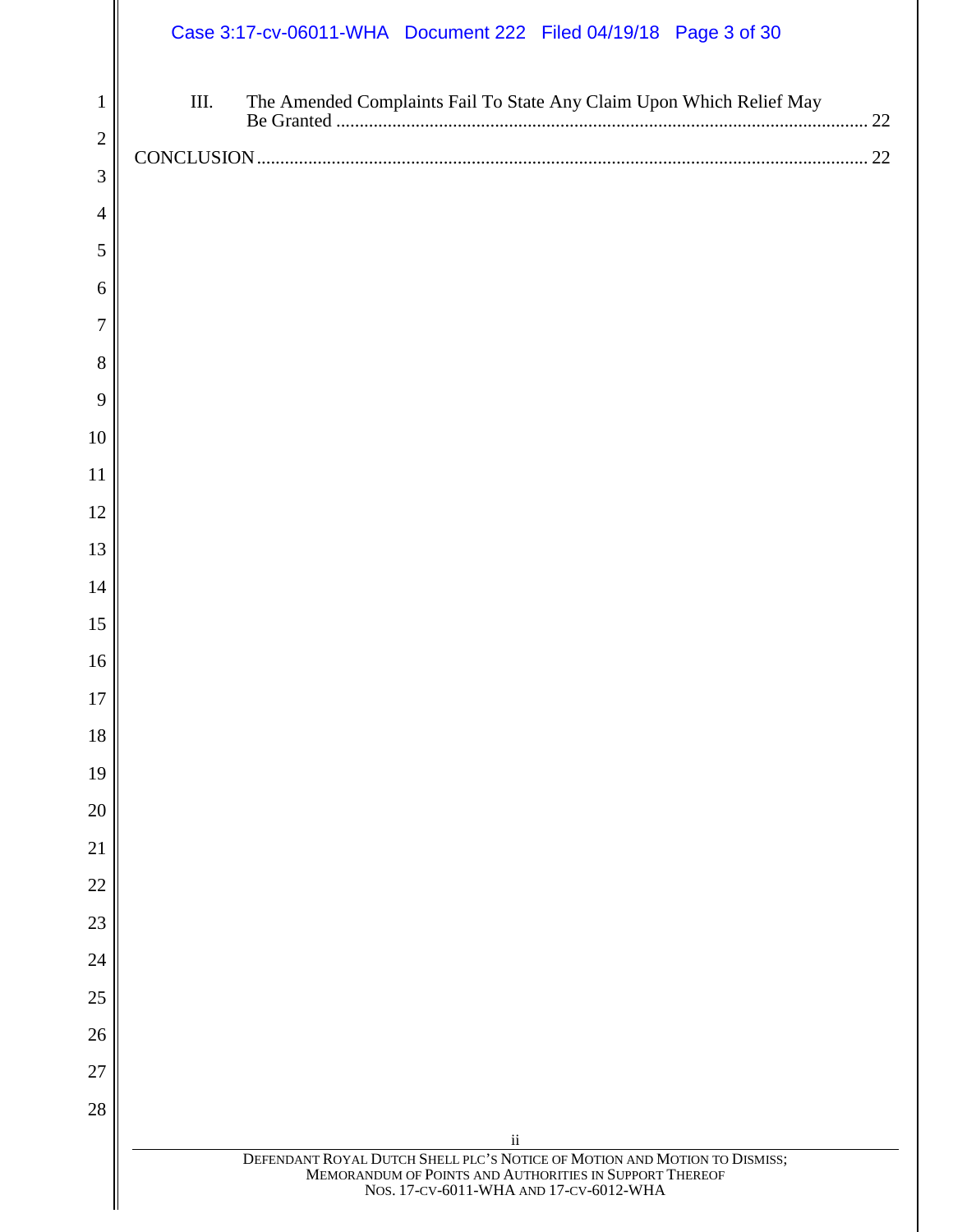# Case 3:17-cv-06011-WHA Document 222 Filed 04/19/18 Page 3 of 30

| 1              | The Amended Complaints Fail To State Any Claim Upon Which Relief May<br>III.                                                                                                   | 22 |
|----------------|--------------------------------------------------------------------------------------------------------------------------------------------------------------------------------|----|
| $\overline{2}$ |                                                                                                                                                                                | 22 |
| 3              |                                                                                                                                                                                |    |
| 4              |                                                                                                                                                                                |    |
| 5              |                                                                                                                                                                                |    |
| 6              |                                                                                                                                                                                |    |
| 7              |                                                                                                                                                                                |    |
| 8              |                                                                                                                                                                                |    |
| 9              |                                                                                                                                                                                |    |
| 10             |                                                                                                                                                                                |    |
| 11             |                                                                                                                                                                                |    |
| 12             |                                                                                                                                                                                |    |
| 13             |                                                                                                                                                                                |    |
| 14             |                                                                                                                                                                                |    |
| 15             |                                                                                                                                                                                |    |
| 16             |                                                                                                                                                                                |    |
| 17             |                                                                                                                                                                                |    |
| $18\,$         |                                                                                                                                                                                |    |
| 19             |                                                                                                                                                                                |    |
| 20             |                                                                                                                                                                                |    |
| 21             |                                                                                                                                                                                |    |
| 22             |                                                                                                                                                                                |    |
| 23             |                                                                                                                                                                                |    |
| 24             |                                                                                                                                                                                |    |
| 25             |                                                                                                                                                                                |    |
| 26             |                                                                                                                                                                                |    |
| 27             |                                                                                                                                                                                |    |
| 28             | $\rm ii$                                                                                                                                                                       |    |
|                | DEFENDANT ROYAL DUTCH SHELL PLC'S NOTICE OF MOTION AND MOTION TO DISMISS;<br>MEMORANDUM OF POINTS AND AUTHORITIES IN SUPPORT THEREOF<br>NOS. 17-CV-6011-WHA AND 17-CV-6012-WHA |    |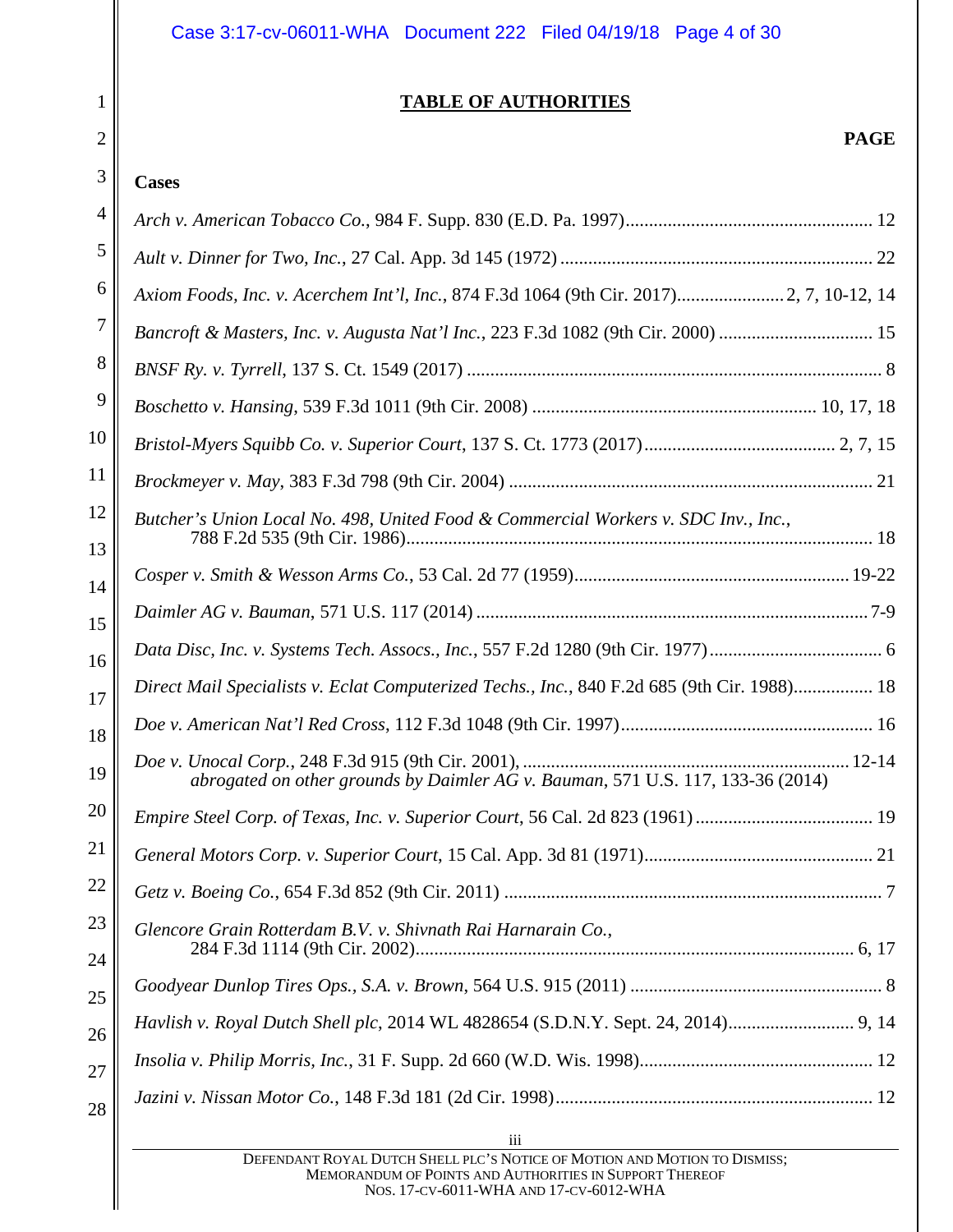| Case 3:17-cv-06011-WHA Document 222 Filed 04/19/18 Page 4 of 30 |  |  |  |
|-----------------------------------------------------------------|--|--|--|
|-----------------------------------------------------------------|--|--|--|

### **TABLE OF AUTHORITIES**

# **PAGE**

# **Cases**

<span id="page-3-0"></span>1

2

| 4        |                                                                                             |
|----------|---------------------------------------------------------------------------------------------|
| 5        |                                                                                             |
| 6        | Axiom Foods, Inc. v. Acerchem Int'l, Inc., 874 F.3d 1064 (9th Cir. 2017) 2, 7, 10-12, 14    |
| 7        | Bancroft & Masters, Inc. v. Augusta Nat'l Inc., 223 F.3d 1082 (9th Cir. 2000)  15           |
| 8        |                                                                                             |
| 9        |                                                                                             |
| 10       |                                                                                             |
| 11       |                                                                                             |
| 12       | Butcher's Union Local No. 498, United Food & Commercial Workers v. SDC Inv., Inc.,          |
| 13<br>14 |                                                                                             |
| 15       |                                                                                             |
| 16       |                                                                                             |
| 17       | Direct Mail Specialists v. Eclat Computerized Techs., Inc., 840 F.2d 685 (9th Cir. 1988) 18 |
| 18       |                                                                                             |
| 19       | abrogated on other grounds by Daimler AG v. Bauman, 571 U.S. 117, 133-36 (2014)             |
| 20       | Empire Steel Corp. of Texas, Inc. v. Superior Court, 56 Cal. 2d 823 (1961)  19              |
| 21       |                                                                                             |
| 22       |                                                                                             |
| 23       | Glencore Grain Rotterdam B.V. v. Shivnath Rai Harnarain Co.,                                |
| 24<br>25 |                                                                                             |
| 26       |                                                                                             |
| 27       |                                                                                             |
| 28       |                                                                                             |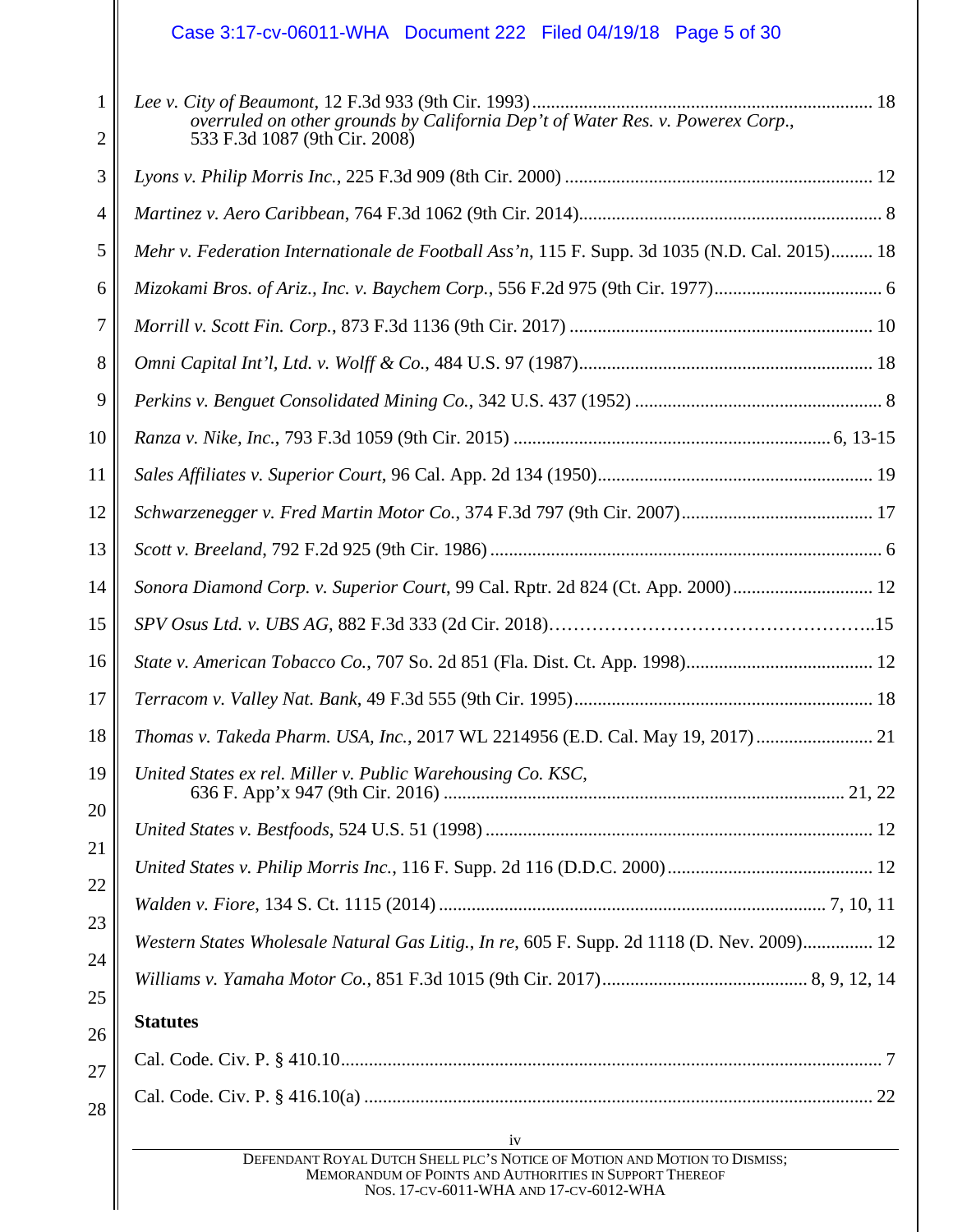# Case 3:17-cv-06011-WHA Document 222 Filed 04/19/18 Page 5 of 30

| 1<br>$\overline{2}$ | overruled on other grounds by California Dep't of Water Res. v. Powerex Corp.,<br>533 F.3d 1087 (9th Cir. 2008) |
|---------------------|-----------------------------------------------------------------------------------------------------------------|
| 3                   |                                                                                                                 |
| $\overline{4}$      |                                                                                                                 |
| 5                   | Mehr v. Federation Internationale de Football Ass'n, 115 F. Supp. 3d 1035 (N.D. Cal. 2015) 18                   |
| 6                   |                                                                                                                 |
| $\overline{7}$      |                                                                                                                 |
| 8                   |                                                                                                                 |
| 9                   |                                                                                                                 |
| 10                  |                                                                                                                 |
| 11                  |                                                                                                                 |
| 12                  |                                                                                                                 |
| 13                  |                                                                                                                 |
| 14                  |                                                                                                                 |
| 15                  |                                                                                                                 |
| 16                  |                                                                                                                 |
| 17                  |                                                                                                                 |
| 18                  | Thomas v. Takeda Pharm. USA, Inc., 2017 WL 2214956 (E.D. Cal. May 19, 2017) 21                                  |
| 19<br>20            | United States ex rel. Miller v. Public Warehousing Co. KSC,                                                     |
|                     |                                                                                                                 |
| 21<br>22            |                                                                                                                 |
| 23                  |                                                                                                                 |
| 24                  | Western States Wholesale Natural Gas Litig., In re, 605 F. Supp. 2d 1118 (D. Nev. 2009) 12                      |
| 25                  |                                                                                                                 |
| 26                  | <b>Statutes</b>                                                                                                 |
| 27                  |                                                                                                                 |
| 28                  |                                                                                                                 |
|                     | 1V<br>IV IV<br>DEFENDANT ROYAL DUTCH SHELL PLC'S NOTICE OF MOTION AND MOTION TO DISMISS;                        |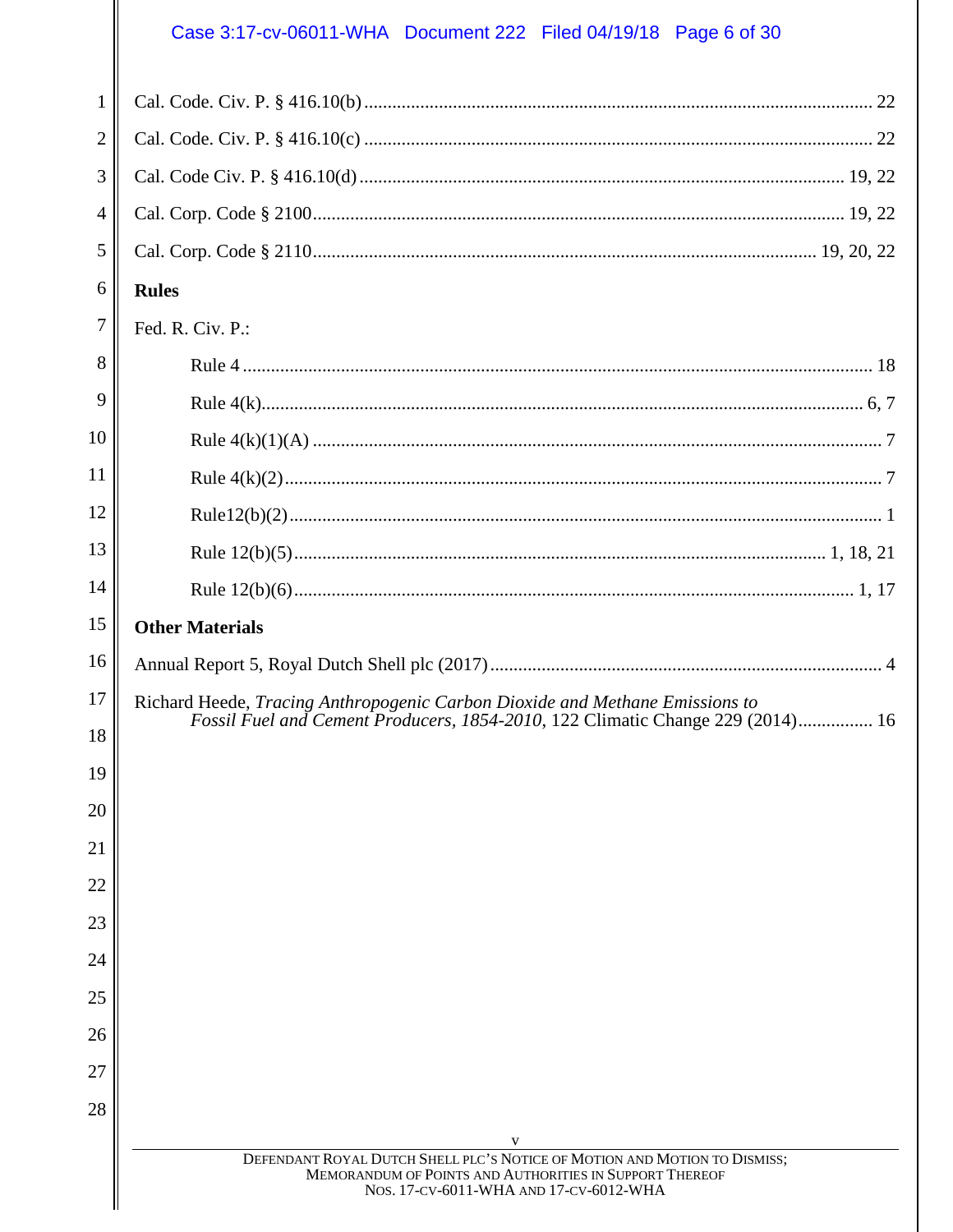# Case 3:17-cv-06011-WHA Document 222 Filed 04/19/18 Page 6 of 30

| 1  |                                                                                                                                                                                |
|----|--------------------------------------------------------------------------------------------------------------------------------------------------------------------------------|
| 2  |                                                                                                                                                                                |
| 3  |                                                                                                                                                                                |
| 4  |                                                                                                                                                                                |
| 5  |                                                                                                                                                                                |
| 6  | <b>Rules</b>                                                                                                                                                                   |
|    |                                                                                                                                                                                |
| 7  | Fed. R. Civ. P.:                                                                                                                                                               |
| 8  |                                                                                                                                                                                |
| 9  |                                                                                                                                                                                |
| 10 |                                                                                                                                                                                |
| 11 |                                                                                                                                                                                |
| 12 |                                                                                                                                                                                |
| 13 |                                                                                                                                                                                |
| 14 |                                                                                                                                                                                |
| 15 | <b>Other Materials</b>                                                                                                                                                         |
| 16 |                                                                                                                                                                                |
| 17 | Richard Heede, Tracing Anthropogenic Carbon Dioxide and Methane Emissions to                                                                                                   |
| 18 | Fossil Fuel and Cement Producers, 1854-2010, 122 Climatic Change 229 (2014) 16                                                                                                 |
| 19 |                                                                                                                                                                                |
| 20 |                                                                                                                                                                                |
| 21 |                                                                                                                                                                                |
| 22 |                                                                                                                                                                                |
| 23 |                                                                                                                                                                                |
| 24 |                                                                                                                                                                                |
| 25 |                                                                                                                                                                                |
| 26 |                                                                                                                                                                                |
| 27 |                                                                                                                                                                                |
| 28 |                                                                                                                                                                                |
|    | V                                                                                                                                                                              |
|    | DEFENDANT ROYAL DUTCH SHELL PLC'S NOTICE OF MOTION AND MOTION TO DISMISS;<br>MEMORANDUM OF POINTS AND AUTHORITIES IN SUPPORT THEREOF<br>NOS. 17-CV-6011-WHA AND 17-CV-6012-WHA |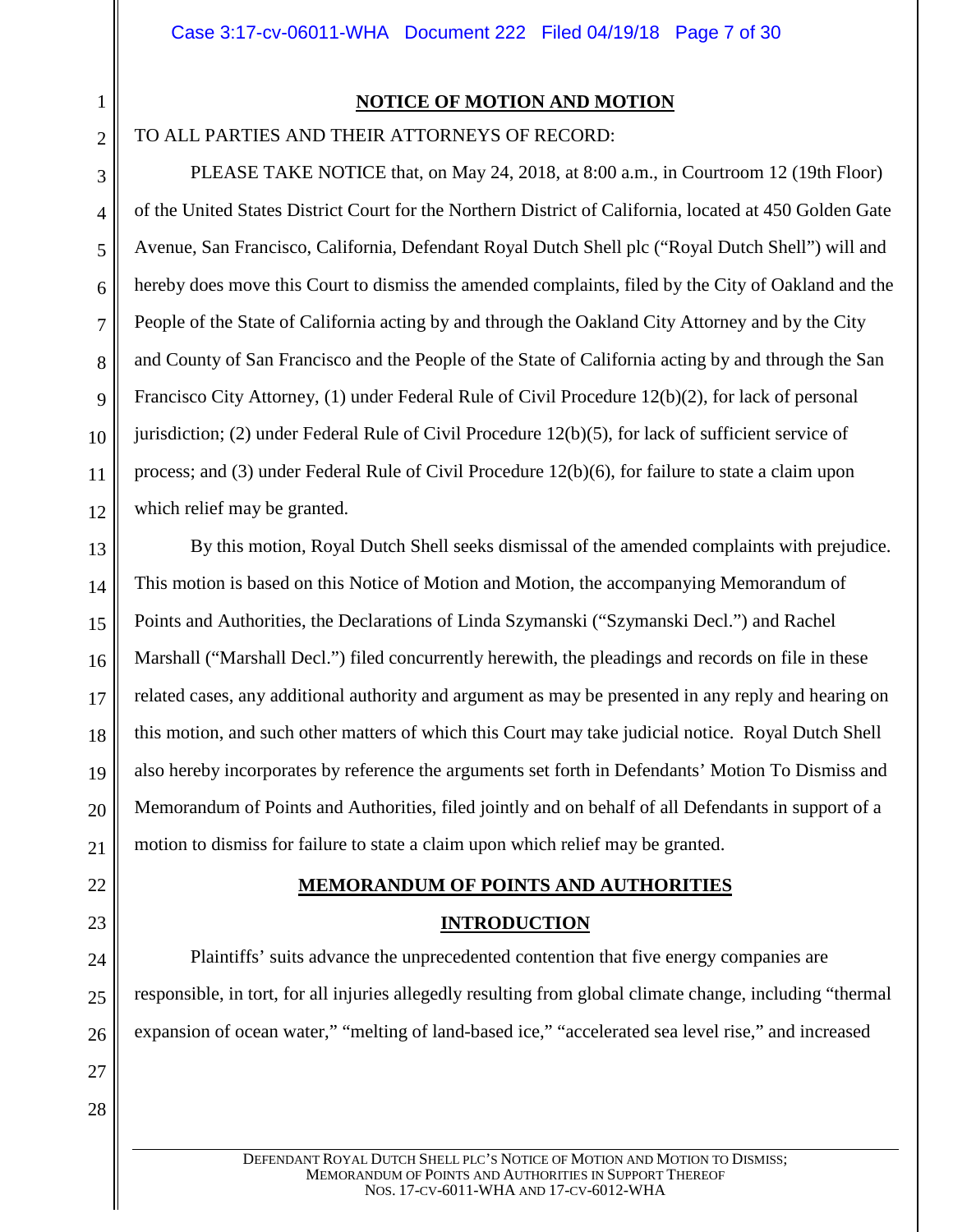5

6

7

8

 $\mathbf Q$ 

10

11

12

#### **NOTICE OF MOTION AND MOTION**

<span id="page-6-0"></span>TO ALL PARTIES AND THEIR ATTORNEYS OF RECORD:

PLEASE TAKE NOTICE that, on May 24, 2018, at 8:00 a.m., in Courtroom 12 (19th Floor) of the United States District Court for the Northern District of California, located at 450 Golden Gate Avenue, San Francisco, California, Defendant Royal Dutch Shell plc ("Royal Dutch Shell") will and hereby does move this Court to dismiss the amended complaints, filed by the City of Oakland and the People of the State of California acting by and through the Oakland City Attorney and by the City and County of San Francisco and the People of the State of California acting by and through the San Francisco City Attorney, (1) under Federal Rule of Civil Procedure 12(b)(2), for lack of personal jurisdiction; (2) under Federal Rule of Civil Procedure 12(b)(5), for lack of sufficient service of process; and (3) under Federal Rule of Civil Procedure 12(b)(6), for failure to state a claim upon which relief may be granted.

13 14 15 16 17 18 19 20 21 By this motion, Royal Dutch Shell seeks dismissal of the amended complaints with prejudice. This motion is based on this Notice of Motion and Motion, the accompanying Memorandum of Points and Authorities, the Declarations of Linda Szymanski ("Szymanski Decl.") and Rachel Marshall ("Marshall Decl.") filed concurrently herewith, the pleadings and records on file in these related cases, any additional authority and argument as may be presented in any reply and hearing on this motion, and such other matters of which this Court may take judicial notice. Royal Dutch Shell also hereby incorporates by reference the arguments set forth in Defendants' Motion To Dismiss and Memorandum of Points and Authorities, filed jointly and on behalf of all Defendants in support of a motion to dismiss for failure to state a claim upon which relief may be granted.

# **MEMORANDUM OF POINTS AND AUTHORITIES**

#### **INTRODUCTION**

Plaintiffs' suits advance the unprecedented contention that five energy companies are responsible, in tort, for all injuries allegedly resulting from global climate change, including "thermal expansion of ocean water," "melting of land-based ice," "accelerated sea level rise," and increased

28

<span id="page-6-2"></span><span id="page-6-1"></span>22

23

24

25

26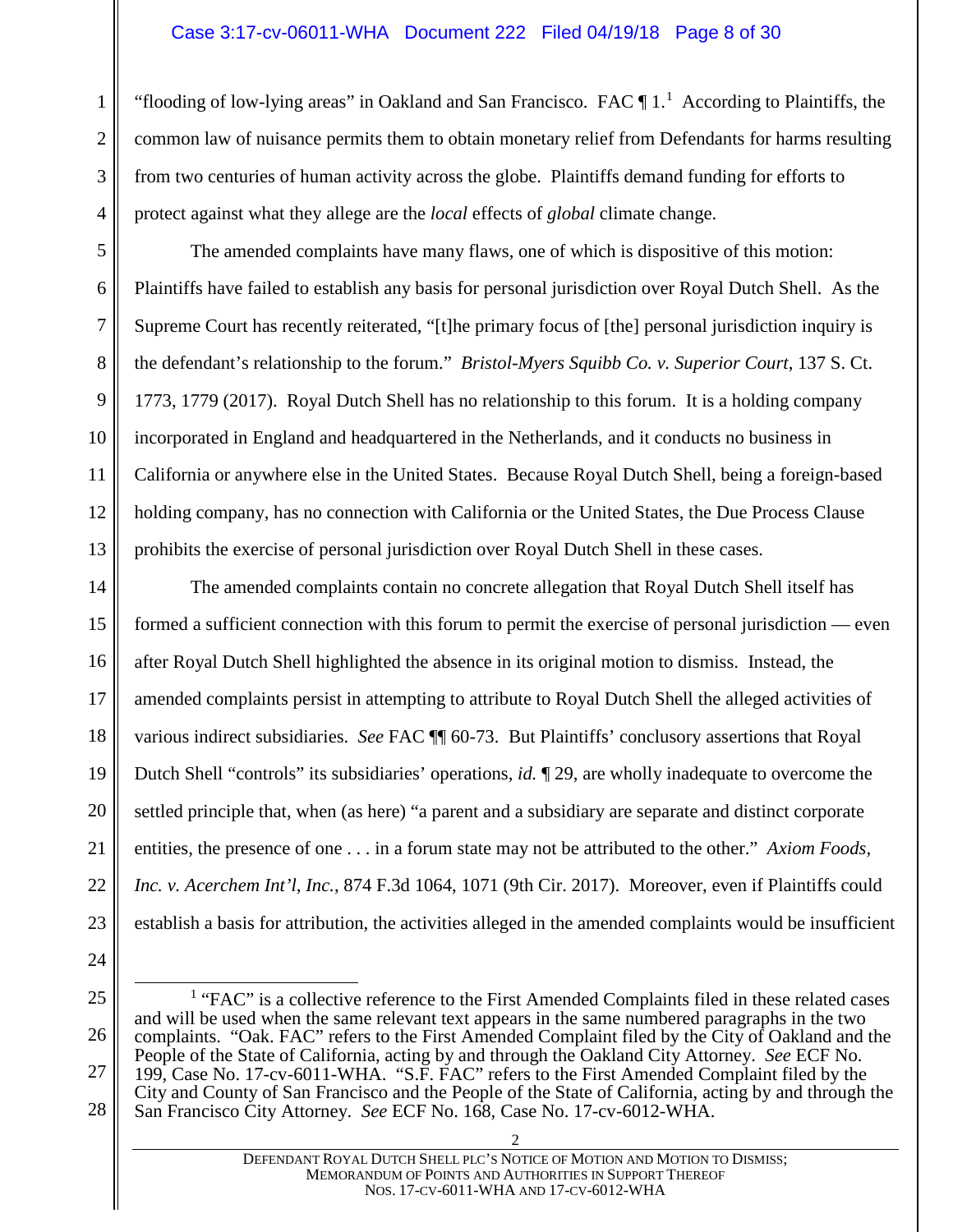#### Case 3:17-cv-06011-WHA Document 222 Filed 04/19/18 Page 8 of 30

"flooding of low-lying areas" in Oakland and San Francisco. FAC  $\P$  [1](#page-7-0).<sup>1</sup> According to Plaintiffs, the common law of nuisance permits them to obtain monetary relief from Defendants for harms resulting from two centuries of human activity across the globe. Plaintiffs demand funding for efforts to protect against what they allege are the *local* effects of *global* climate change.

The amended complaints have many flaws, one of which is dispositive of this motion: Plaintiffs have failed to establish any basis for personal jurisdiction over Royal Dutch Shell. As the Supreme Court has recently reiterated, "[t]he primary focus of [the] personal jurisdiction inquiry is the defendant's relationship to the forum." *Bristol-Myers Squibb Co. v. Superior Court*, 137 S. Ct. 1773, 1779 (2017). Royal Dutch Shell has no relationship to this forum. It is a holding company incorporated in England and headquartered in the Netherlands, and it conducts no business in California or anywhere else in the United States. Because Royal Dutch Shell, being a foreign-based holding company, has no connection with California or the United States, the Due Process Clause prohibits the exercise of personal jurisdiction over Royal Dutch Shell in these cases.

14 15 16 17 18 19 20 21 22 23 The amended complaints contain no concrete allegation that Royal Dutch Shell itself has formed a sufficient connection with this forum to permit the exercise of personal jurisdiction — even after Royal Dutch Shell highlighted the absence in its original motion to dismiss. Instead, the amended complaints persist in attempting to attribute to Royal Dutch Shell the alleged activities of various indirect subsidiaries. *See* FAC ¶¶ 60-73. But Plaintiffs' conclusory assertions that Royal Dutch Shell "controls" its subsidiaries' operations, *id.* ¶ 29, are wholly inadequate to overcome the settled principle that, when (as here) "a parent and a subsidiary are separate and distinct corporate entities, the presence of one . . . in a forum state may not be attributed to the other." *Axiom Foods, Inc. v. Acerchem Int'l, Inc.*, 874 F.3d 1064, 1071 (9th Cir. 2017). Moreover, even if Plaintiffs could establish a basis for attribution, the activities alleged in the amended complaints would be insufficient

24

1

2

3

4

5

6

7

8

9

10

11

12

13

<span id="page-7-0"></span><sup>26</sup> 27 28  $<sup>1</sup>$  "FAC" is a collective reference to the First Amended Complaints filed in these related cases</sup> and will be used when the same relevant text appears in the same numbered paragraphs in the two complaints. "Oak. FAC" refers to the First Amended Complaint filed by the City of Oakland and the People of the State of California, acting by and through the Oakland City Attorney. *See* ECF No. 199, Case No. 17-cv-6011-WHA. "S.F. FAC" refers to the First Amended Complaint filed by the City and County of San Francisco and the People of the State of California, acting by and through the San Francisco City Attorney. *See* ECF No. 168, Case No. 17-cv-6012-WHA.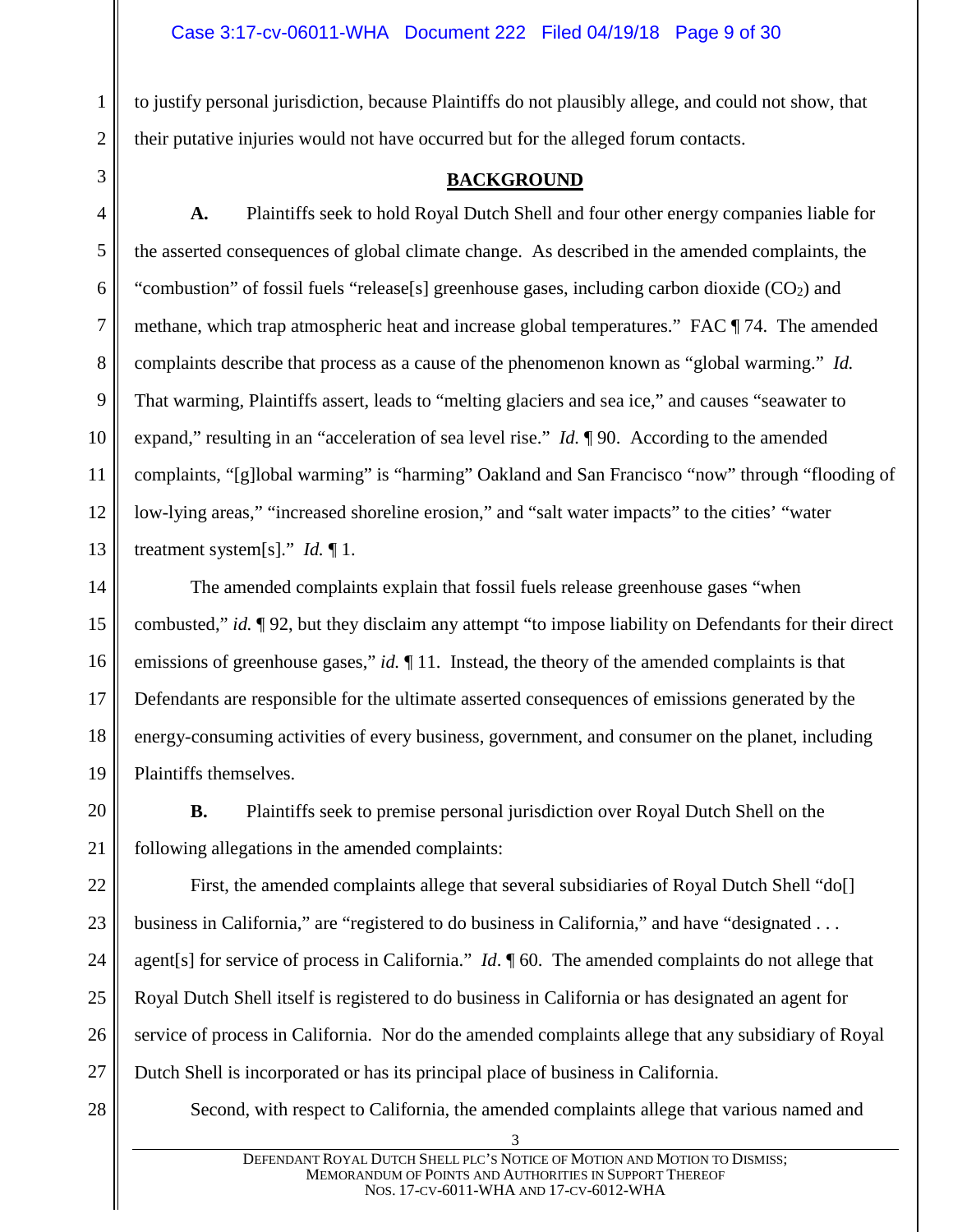to justify personal jurisdiction, because Plaintiffs do not plausibly allege, and could not show, that their putative injuries would not have occurred but for the alleged forum contacts.

#### **BACKGROUND**

**A.** Plaintiffs seek to hold Royal Dutch Shell and four other energy companies liable for the asserted consequences of global climate change. As described in the amended complaints, the "combustion" of fossil fuels "release[s] greenhouse gases, including carbon dioxide  $(CO<sub>2</sub>)$  and methane, which trap atmospheric heat and increase global temperatures." FAC ¶ 74. The amended complaints describe that process as a cause of the phenomenon known as "global warming." *Id.* That warming, Plaintiffs assert, leads to "melting glaciers and sea ice," and causes "seawater to expand," resulting in an "acceleration of sea level rise." *Id.* ¶ 90. According to the amended complaints, "[g]lobal warming" is "harming" Oakland and San Francisco "now" through "flooding of low-lying areas," "increased shoreline erosion," and "salt water impacts" to the cities' "water treatment system[s]." *Id.* ¶ 1.

14 15 16 17 18 19 The amended complaints explain that fossil fuels release greenhouse gases "when combusted," *id.* ¶ 92, but they disclaim any attempt "to impose liability on Defendants for their direct emissions of greenhouse gases," *id.*  $\P$  11. Instead, the theory of the amended complaints is that Defendants are responsible for the ultimate asserted consequences of emissions generated by the energy-consuming activities of every business, government, and consumer on the planet, including Plaintiffs themselves.

**B.** Plaintiffs seek to premise personal jurisdiction over Royal Dutch Shell on the following allegations in the amended complaints:

22 23 24 25 26 27 First, the amended complaints allege that several subsidiaries of Royal Dutch Shell "do[] business in California," are "registered to do business in California," and have "designated . . . agent[s] for service of process in California." *Id*. ¶ 60. The amended complaints do not allege that Royal Dutch Shell itself is registered to do business in California or has designated an agent for service of process in California. Nor do the amended complaints allege that any subsidiary of Royal Dutch Shell is incorporated or has its principal place of business in California.

28

1

2

<span id="page-8-0"></span>3

4

5

6

7

8

9

10

11

12

13

20

21

Second, with respect to California, the amended complaints allege that various named and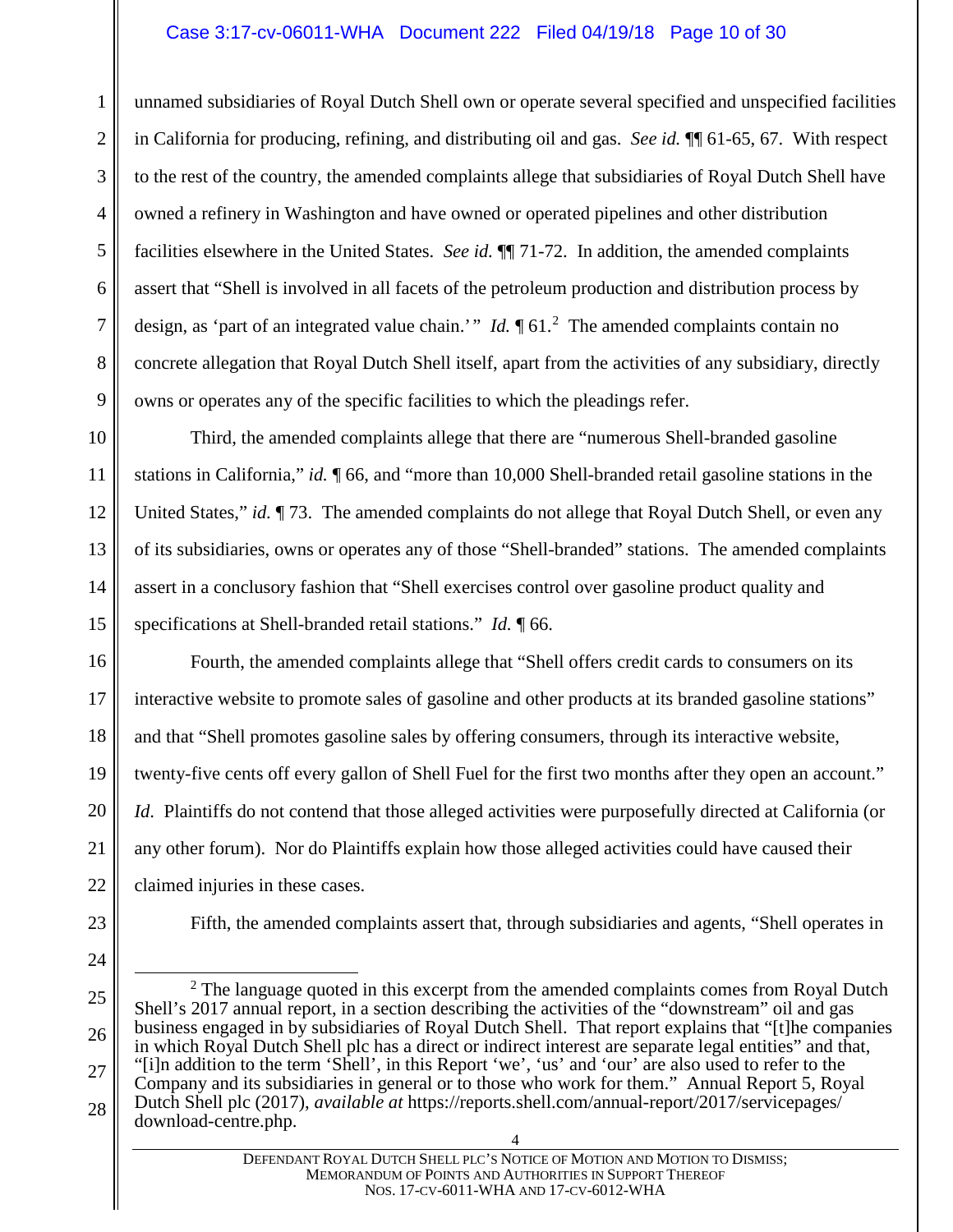#### Case 3:17-cv-06011-WHA Document 222 Filed 04/19/18 Page 10 of 30

unnamed subsidiaries of Royal Dutch Shell own or operate several specified and unspecified facilities in California for producing, refining, and distributing oil and gas. *See id.* ¶¶ 61-65, 67. With respect to the rest of the country, the amended complaints allege that subsidiaries of Royal Dutch Shell have owned a refinery in Washington and have owned or operated pipelines and other distribution facilities elsewhere in the United States. *See id.* ¶¶ 71-72. In addition, the amended complaints assert that "Shell is involved in all facets of the petroleum production and distribution process by design, as 'part of an integrated value chain.'" *Id*.  $\int 61$ . <sup>[2](#page-9-0)</sup> The amended complaints contain no concrete allegation that Royal Dutch Shell itself, apart from the activities of any subsidiary, directly owns or operates any of the specific facilities to which the pleadings refer.

10 11 12 13 14 15 Third, the amended complaints allege that there are "numerous Shell-branded gasoline stations in California," *id.* ¶ 66, and "more than 10,000 Shell-branded retail gasoline stations in the United States," *id.*  $\P$  73. The amended complaints do not allege that Royal Dutch Shell, or even any of its subsidiaries, owns or operates any of those "Shell-branded" stations. The amended complaints assert in a conclusory fashion that "Shell exercises control over gasoline product quality and specifications at Shell-branded retail stations." *Id.* ¶ 66.

16 17 18 19 20 21 22 Fourth, the amended complaints allege that "Shell offers credit cards to consumers on its interactive website to promote sales of gasoline and other products at its branded gasoline stations" and that "Shell promotes gasoline sales by offering consumers, through its interactive website, twenty-five cents off every gallon of Shell Fuel for the first two months after they open an account." *Id*. Plaintiffs do not contend that those alleged activities were purposefully directed at California (or any other forum). Nor do Plaintiffs explain how those alleged activities could have caused their claimed injuries in these cases.

23

1

2

3

4

5

6

7

8

9

Fifth, the amended complaints assert that, through subsidiaries and agents, "Shell operates in

<span id="page-9-0"></span>26 27 28  $2^2$  The language quoted in this excerpt from the amended complaints comes from Royal Dutch Shell's 2017 annual report, in a section describing the activities of the "downstream" oil and gas business engaged in by subsidiaries of Royal Dutch Shell. That report explains that "[t]he companies in which Royal Dutch Shell plc has a direct or indirect interest are separate legal entities" and that, "[i]n addition to the term 'Shell', in this Report 'we', 'us' and 'our' are also used to refer to the Company and its subsidiaries in general or to those who work for them." Annual Report 5, Royal Dutch Shell plc (2017), *available at* https://reports.shell.com/annual-report/2017/servicepages/ download-centre.php.

<sup>24</sup> 25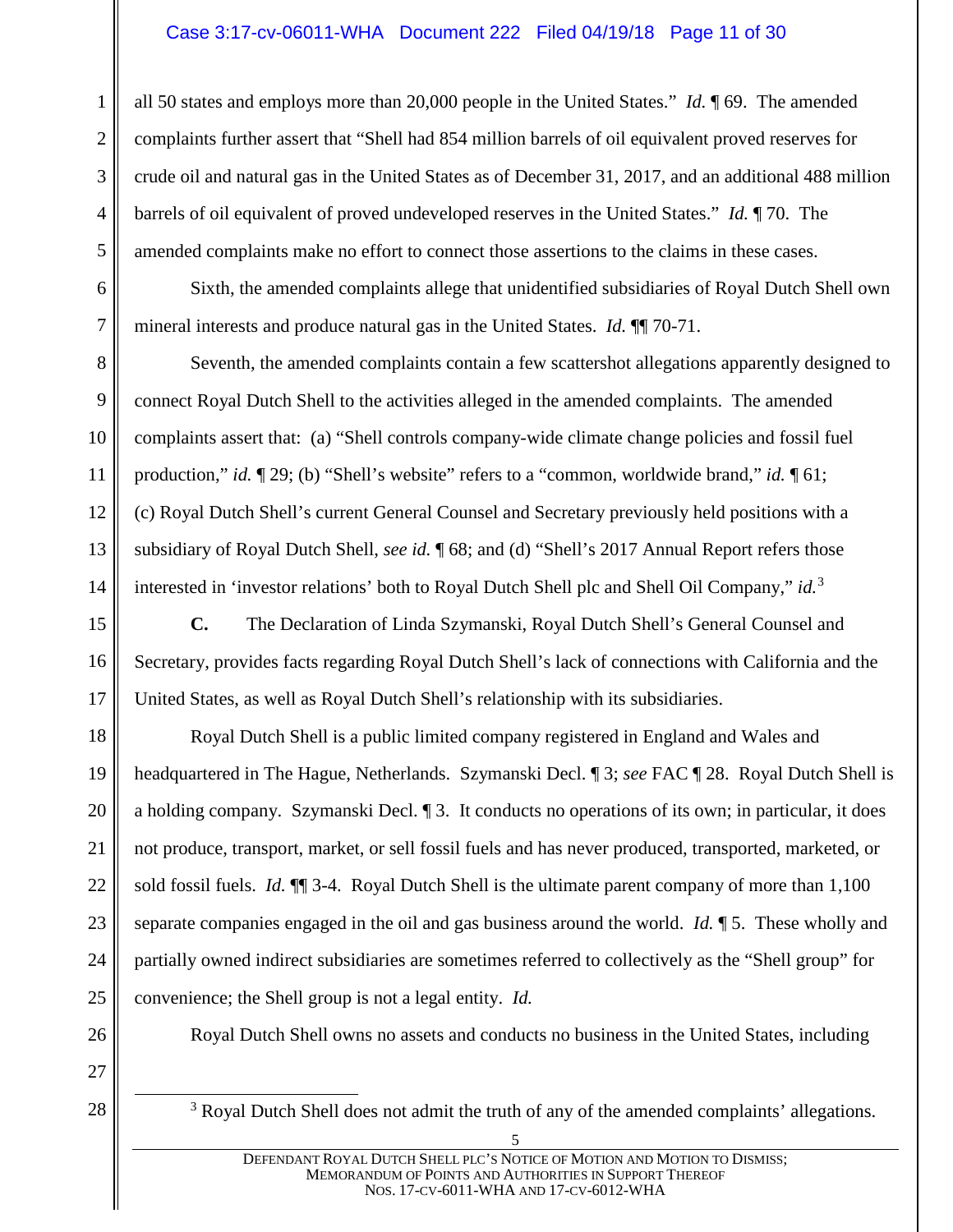#### Case 3:17-cv-06011-WHA Document 222 Filed 04/19/18 Page 11 of 30

all 50 states and employs more than 20,000 people in the United States." *Id.* ¶ 69. The amended complaints further assert that "Shell had 854 million barrels of oil equivalent proved reserves for crude oil and natural gas in the United States as of December 31, 2017, and an additional 488 million barrels of oil equivalent of proved undeveloped reserves in the United States." *Id.* ¶ 70. The amended complaints make no effort to connect those assertions to the claims in these cases.

Sixth, the amended complaints allege that unidentified subsidiaries of Royal Dutch Shell own mineral interests and produce natural gas in the United States. *Id.* ¶¶ 70-71.

Seventh, the amended complaints contain a few scattershot allegations apparently designed to connect Royal Dutch Shell to the activities alleged in the amended complaints. The amended complaints assert that: (a) "Shell controls company-wide climate change policies and fossil fuel production," *id.*  $\P$  29; (b) "Shell's website" refers to a "common, worldwide brand," *id.*  $\P$  61; (c) Royal Dutch Shell's current General Counsel and Secretary previously held positions with a subsidiary of Royal Dutch Shell, *see id.* ¶ 68; and (d) "Shell's 2017 Annual Report refers those interested in 'investor relations' both to Royal Dutch Shell plc and Shell Oil Company," *id.*[3](#page-10-0)

**C.** The Declaration of Linda Szymanski, Royal Dutch Shell's General Counsel and Secretary, provides facts regarding Royal Dutch Shell's lack of connections with California and the United States, as well as Royal Dutch Shell's relationship with its subsidiaries.

Royal Dutch Shell is a public limited company registered in England and Wales and headquartered in The Hague, Netherlands. Szymanski Decl. ¶ 3; *see* FAC ¶ 28. Royal Dutch Shell is a holding company. Szymanski Decl. ¶ 3. It conducts no operations of its own; in particular, it does not produce, transport, market, or sell fossil fuels and has never produced, transported, marketed, or sold fossil fuels. *Id.* ¶¶ 3-4. Royal Dutch Shell is the ultimate parent company of more than 1,100 separate companies engaged in the oil and gas business around the world. *Id.* ¶ 5. These wholly and partially owned indirect subsidiaries are sometimes referred to collectively as the "Shell group" for convenience; the Shell group is not a legal entity. *Id.*

26

1

2

3

4

5

6

7

8

9

10

11

12

13

14

15

16

17

18

19

20

21

22

23

24

25

Royal Dutch Shell owns no assets and conducts no business in the United States, including

<span id="page-10-0"></span>27 28

<sup>3</sup> Royal Dutch Shell does not admit the truth of any of the amended complaints' allegations.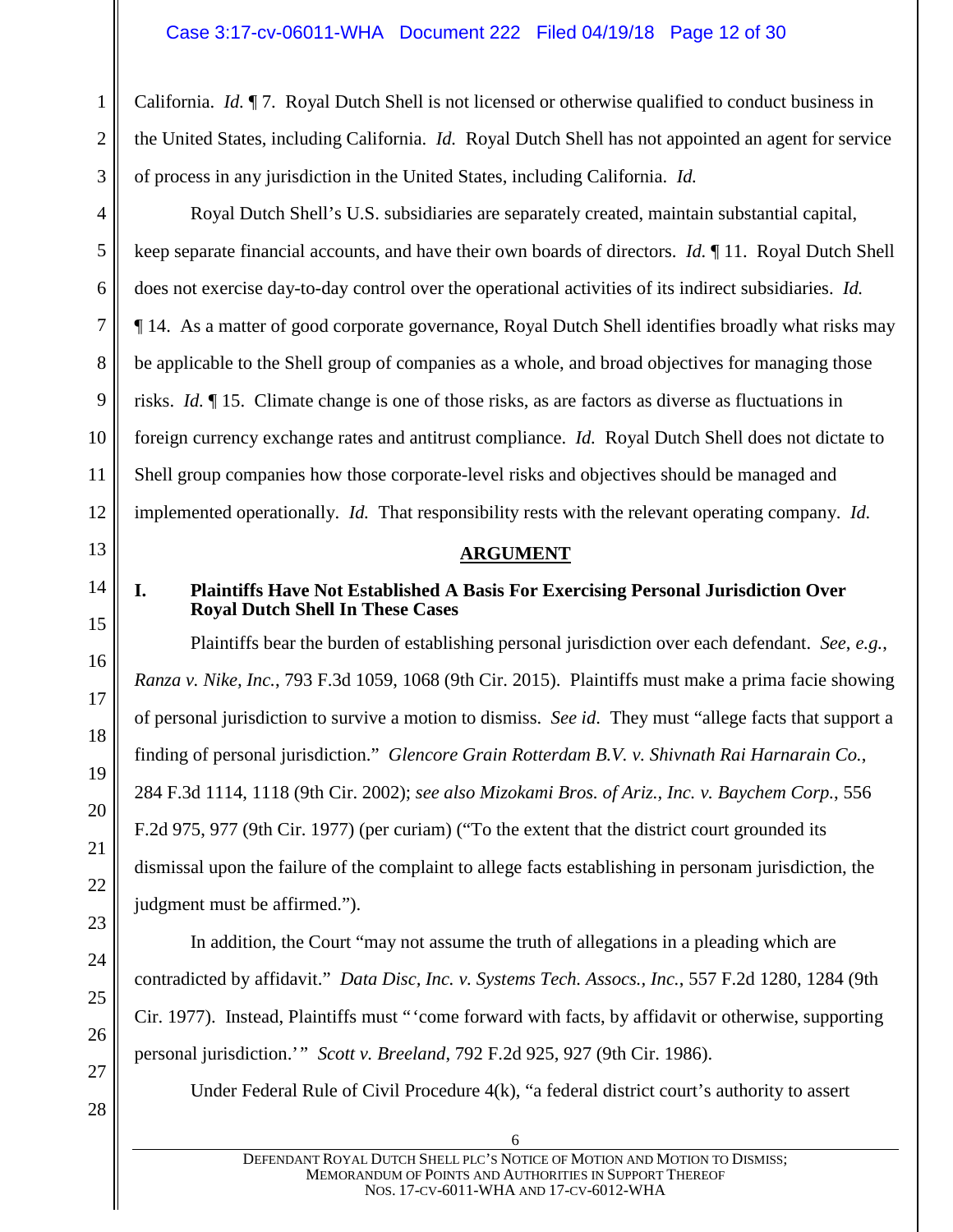California. *Id.* ¶ 7. Royal Dutch Shell is not licensed or otherwise qualified to conduct business in the United States, including California. *Id.* Royal Dutch Shell has not appointed an agent for service of process in any jurisdiction in the United States, including California. *Id.*

Royal Dutch Shell's U.S. subsidiaries are separately created, maintain substantial capital, keep separate financial accounts, and have their own boards of directors. *Id.* ¶ 11. Royal Dutch Shell does not exercise day-to-day control over the operational activities of its indirect subsidiaries. *Id.* ¶ 14. As a matter of good corporate governance, Royal Dutch Shell identifies broadly what risks may be applicable to the Shell group of companies as a whole, and broad objectives for managing those risks. *Id.* ¶ 15. Climate change is one of those risks, as are factors as diverse as fluctuations in foreign currency exchange rates and antitrust compliance. *Id.* Royal Dutch Shell does not dictate to Shell group companies how those corporate-level risks and objectives should be managed and implemented operationally. *Id.* That responsibility rests with the relevant operating company. *Id.*

#### **ARGUMENT**

1

2

#### <span id="page-11-1"></span><span id="page-11-0"></span>**I. Plaintiffs Have Not Established A Basis For Exercising Personal Jurisdiction Over Royal Dutch Shell In These Cases**

Plaintiffs bear the burden of establishing personal jurisdiction over each defendant. *See*, *e.g.*, *Ranza v. Nike, Inc.*, 793 F.3d 1059, 1068 (9th Cir. 2015). Plaintiffs must make a prima facie showing of personal jurisdiction to survive a motion to dismiss. *See id*. They must "allege facts that support a finding of personal jurisdiction." *Glencore Grain Rotterdam B.V. v. Shivnath Rai Harnarain Co.*, 284 F.3d 1114, 1118 (9th Cir. 2002); *see also Mizokami Bros. of Ariz., Inc. v. Baychem Corp.*, 556 F.2d 975, 977 (9th Cir. 1977) (per curiam) ("To the extent that the district court grounded its dismissal upon the failure of the complaint to allege facts establishing in personam jurisdiction, the judgment must be affirmed.").

In addition, the Court "may not assume the truth of allegations in a pleading which are contradicted by affidavit." *Data Disc, Inc. v. Systems Tech. Assocs., Inc.*, 557 F.2d 1280, 1284 (9th Cir. 1977). Instead, Plaintiffs must "'come forward with facts, by affidavit or otherwise, supporting personal jurisdiction.'" *Scott v. Breeland*, 792 F.2d 925, 927 (9th Cir. 1986).

Under Federal Rule of Civil Procedure 4(k), "a federal district court's authority to assert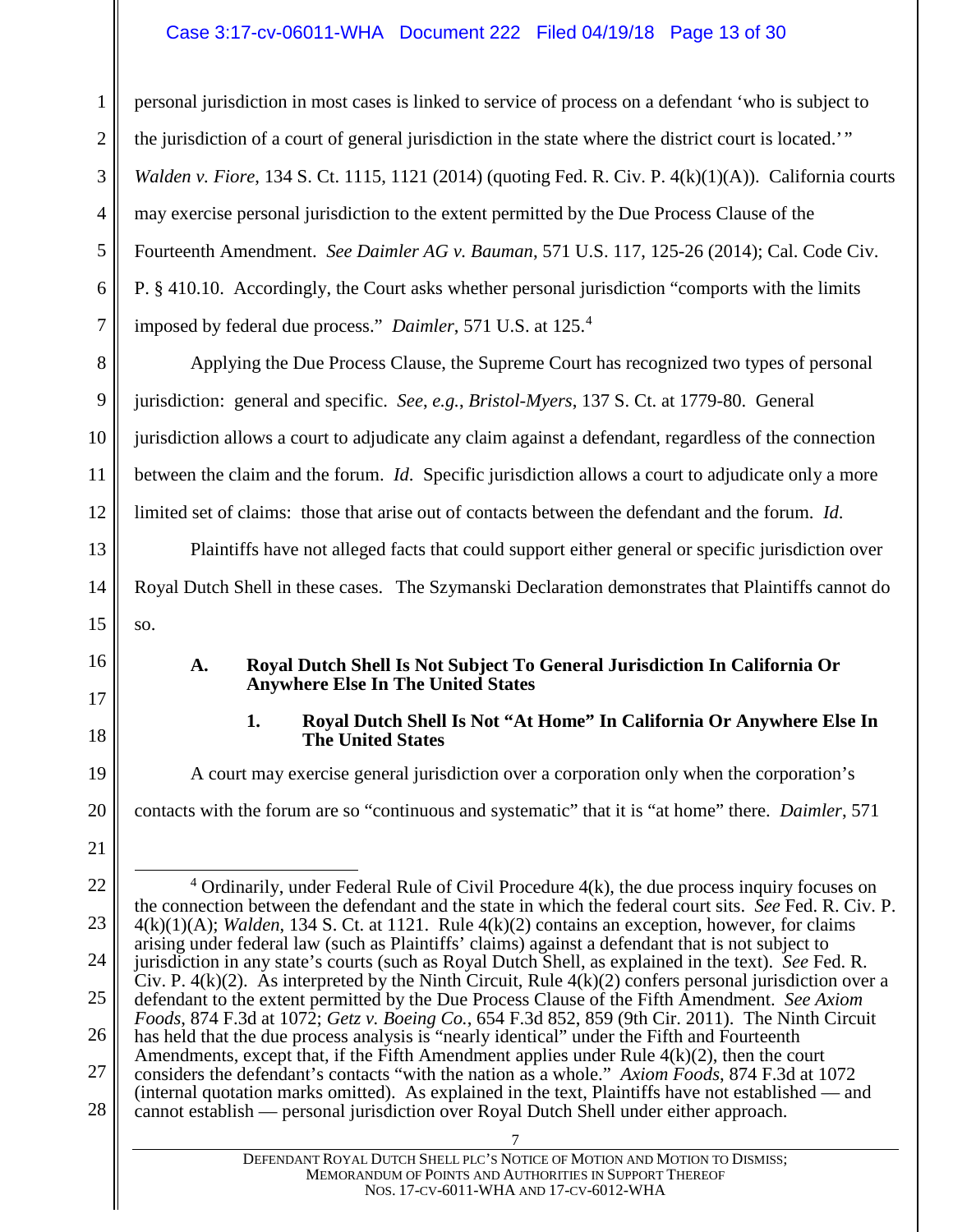#### Case 3:17-cv-06011-WHA Document 222 Filed 04/19/18 Page 13 of 30

1 2 3 4 5 6 7 personal jurisdiction in most cases is linked to service of process on a defendant 'who is subject to the jurisdiction of a court of general jurisdiction in the state where the district court is located.'" *Walden v. Fiore*, 134 S. Ct. 1115, 1121 (2014) (quoting Fed. R. Civ. P. 4(k)(1)(A)). California courts may exercise personal jurisdiction to the extent permitted by the Due Process Clause of the Fourteenth Amendment. *See Daimler AG v. Bauman*, 571 U.S. 117, 125-26 (2014); Cal. Code Civ. P. § 410.10. Accordingly, the Court asks whether personal jurisdiction "comports with the limits imposed by federal due process." *Daimler*, 571 U.S. at 125. [4](#page-12-2)

8 9 10 11 12 Applying the Due Process Clause, the Supreme Court has recognized two types of personal jurisdiction: general and specific. *See*, *e.g.*, *Bristol-Myers*, 137 S. Ct. at 1779-80. General jurisdiction allows a court to adjudicate any claim against a defendant, regardless of the connection between the claim and the forum. *Id*. Specific jurisdiction allows a court to adjudicate only a more limited set of claims: those that arise out of contacts between the defendant and the forum. *Id*.

Plaintiffs have not alleged facts that could support either general or specific jurisdiction over Royal Dutch Shell in these cases. The Szymanski Declaration demonstrates that Plaintiffs cannot do so.

- **A. Royal Dutch Shell Is Not Subject To General Jurisdiction In California Or Anywhere Else In The United States**
- <span id="page-12-1"></span>

#### **1. Royal Dutch Shell Is Not "At Home" In California Or Anywhere Else In The United States**

A court may exercise general jurisdiction over a corporation only when the corporation's contacts with the forum are so "continuous and systematic" that it is "at home" there. *Daimler*, 571

20 21

13

14

15

<span id="page-12-0"></span>16

17

18

<span id="page-12-2"></span><sup>22</sup> 23 24 25 26 27 28 7  $4$  Ordinarily, under Federal Rule of Civil Procedure  $4(k)$ , the due process inquiry focuses on the connection between the defendant and the state in which the federal court sits. *See* Fed. R. Civ. P. 4(k)(1)(A); *Walden*, 134 S. Ct. at 1121. Rule 4(k)(2) contains an exception, however, for claims arising under federal law (such as Plaintiffs' claims) against a defendant that is not subject to jurisdiction in any state's courts (such as Royal Dutch Shell, as explained in the text). *See* Fed. R. Civ. P.  $4(k)(2)$ . As interpreted by the Ninth Circuit, Rule  $4(k)(2)$  confers personal jurisdiction over a defendant to the extent permitted by the Due Process Clause of the Fifth Amendment. *See Axiom Foods*, 874 F.3d at 1072; *Getz v. Boeing Co.*, 654 F.3d 852, 859 (9th Cir. 2011). The Ninth Circuit has held that the due process analysis is "nearly identical" under the Fifth and Fourteenth Amendments, except that, if the Fifth Amendment applies under Rule  $4(k)(2)$ , then the court considers the defendant's contacts "with the nation as a whole." *Axiom Foods*, 874 F.3d at 1072 (internal quotation marks omitted). As explained in the text, Plaintiffs have not established — and cannot establish — personal jurisdiction over Royal Dutch Shell under either approach.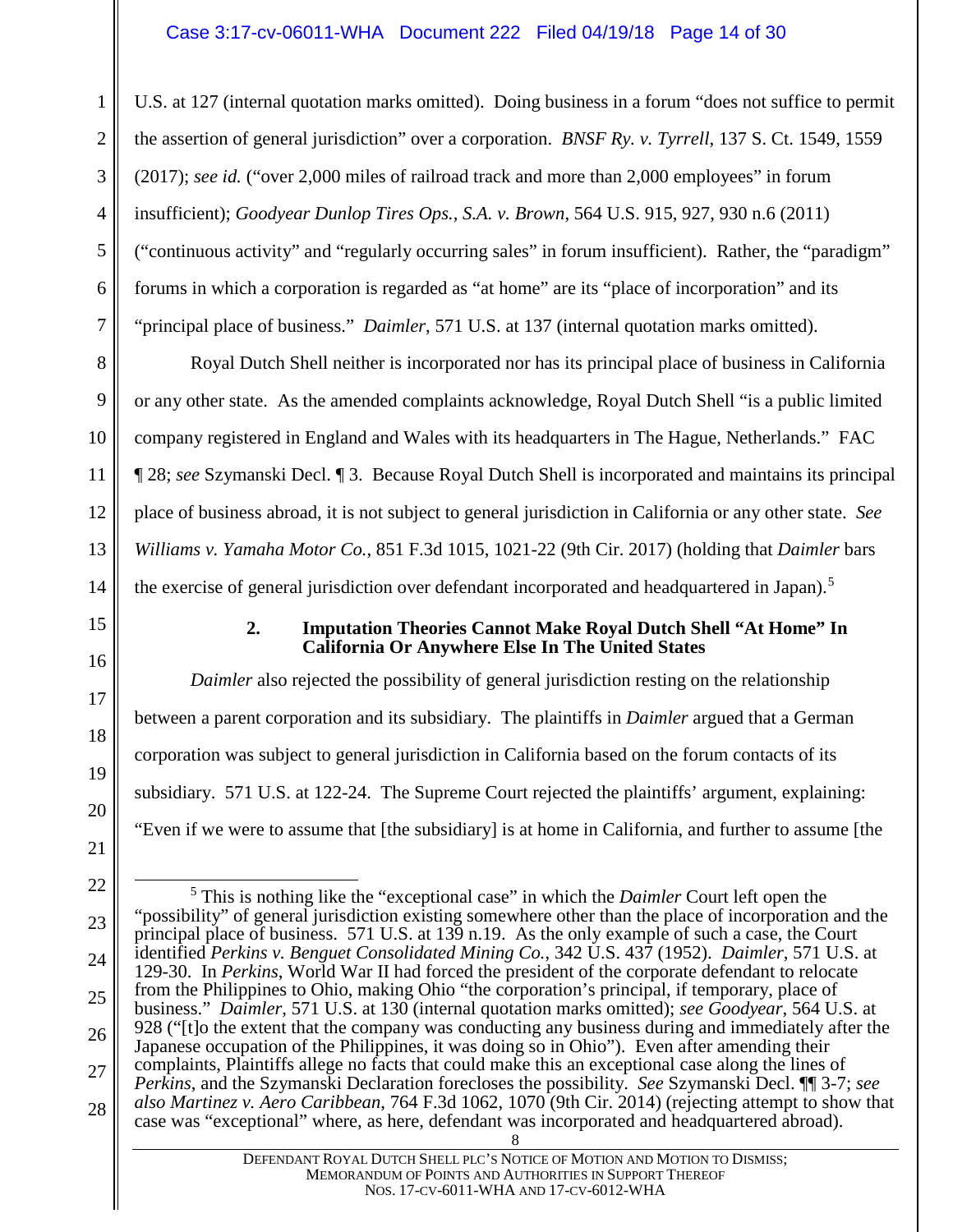1 2 3 4 5 6 7 U.S. at 127 (internal quotation marks omitted). Doing business in a forum "does not suffice to permit the assertion of general jurisdiction" over a corporation. *BNSF Ry. v. Tyrrell*, 137 S. Ct. 1549, 1559 (2017); *see id.* ("over 2,000 miles of railroad track and more than 2,000 employees" in forum insufficient); *Goodyear Dunlop Tires Ops., S.A. v. Brown*, 564 U.S. 915, 927, 930 n.6 (2011) ("continuous activity" and "regularly occurring sales" in forum insufficient). Rather, the "paradigm" forums in which a corporation is regarded as "at home" are its "place of incorporation" and its "principal place of business." *Daimler*, 571 U.S. at 137 (internal quotation marks omitted).

Royal Dutch Shell neither is incorporated nor has its principal place of business in California or any other state. As the amended complaints acknowledge, Royal Dutch Shell "is a public limited company registered in England and Wales with its headquarters in The Hague, Netherlands." FAC ¶ 28; *see* Szymanski Decl. ¶ 3. Because Royal Dutch Shell is incorporated and maintains its principal place of business abroad, it is not subject to general jurisdiction in California or any other state. *See Williams v. Yamaha Motor Co.*, 851 F.3d 1015, 1021-22 (9th Cir. 2017) (holding that *Daimler* bars the exercise of general jurisdiction over defendant incorporated and headquartered in Japan).<sup>[5](#page-13-1)</sup>

# <span id="page-13-0"></span>15 16

17

18

19

20

21

8

9

10

11

12

13

14

#### **2. Imputation Theories Cannot Make Royal Dutch Shell "At Home" In California Or Anywhere Else In The United States**

*Daimler* also rejected the possibility of general jurisdiction resting on the relationship between a parent corporation and its subsidiary. The plaintiffs in *Daimler* argued that a German corporation was subject to general jurisdiction in California based on the forum contacts of its subsidiary. 571 U.S. at 122-24. The Supreme Court rejected the plaintiffs' argument, explaining: "Even if we were to assume that [the subsidiary] is at home in California, and further to assume [the

<span id="page-13-1"></span><sup>22</sup> 23 24 25 26 27 28 8 5 This is nothing like the "exceptional case" in which the *Daimler* Court left open the "possibility" of general jurisdiction existing somewhere other than the place of incorporation and the principal place of business. 571 U.S. at 139 n.19. As the only example of such a case, the Court identified *Perkins v. Benguet Consolidated Mining Co.*, 342 U.S. 437 (1952). *Daimler*, 571 U.S. at 129-30. In *Perkins*, World War II had forced the president of the corporate defendant to relocate from the Philippines to Ohio, making Ohio "the corporation's principal, if temporary, place of business." *Daimler*, 571 U.S. at 130 (internal quotation marks omitted); *see Goodyear*, 564 U.S. at 928 ("[t]o the extent that the company was conducting any business during and immediately after the Japanese occupation of the Philippines, it was doing so in Ohio"). Even after amending their complaints, Plaintiffs allege no facts that could make this an exceptional case along the lines of *Perkins*, and the Szymanski Declaration forecloses the possibility. *See* Szymanski Decl. ¶¶ 3-7; *see also Martinez v. Aero Caribbean*, 764 F.3d 1062, 1070 (9th Cir. 2014) (rejecting attempt to show that case was "exceptional" where, as here, defendant was incorporated and headquartered abroad).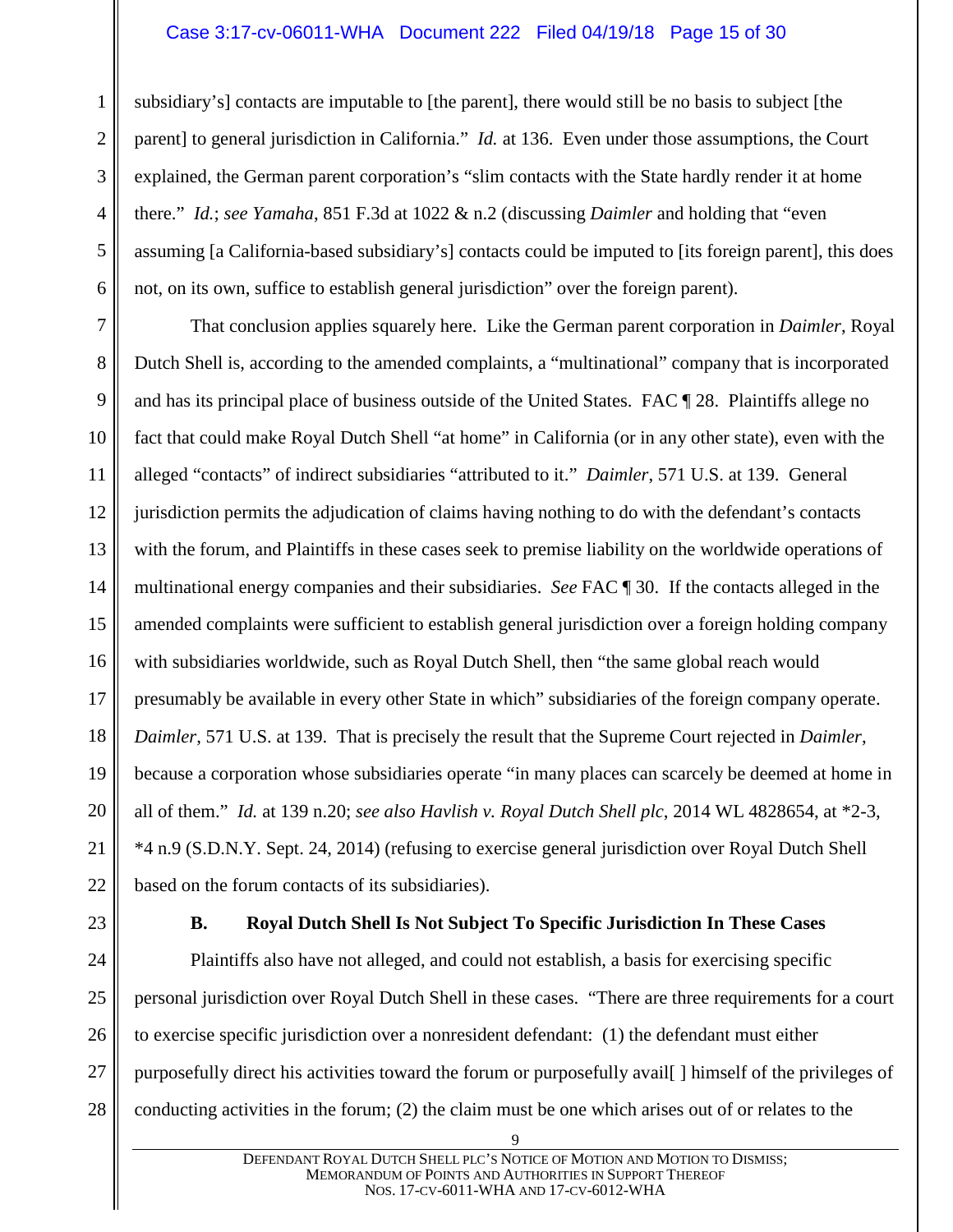#### Case 3:17-cv-06011-WHA Document 222 Filed 04/19/18 Page 15 of 30

1 2 3 4 5 6 subsidiary's] contacts are imputable to [the parent], there would still be no basis to subject [the parent] to general jurisdiction in California." *Id.* at 136. Even under those assumptions, the Court explained, the German parent corporation's "slim contacts with the State hardly render it at home there." *Id.*; *see Yamaha*, 851 F.3d at 1022 & n.2 (discussing *Daimler* and holding that "even assuming [a California-based subsidiary's] contacts could be imputed to [its foreign parent], this does not, on its own, suffice to establish general jurisdiction" over the foreign parent).

7 8 9 10 11 12 13 14 15 16 17 18 19 20 21 22 That conclusion applies squarely here. Like the German parent corporation in *Daimler*, Royal Dutch Shell is, according to the amended complaints, a "multinational" company that is incorporated and has its principal place of business outside of the United States. FAC ¶ 28. Plaintiffs allege no fact that could make Royal Dutch Shell "at home" in California (or in any other state), even with the alleged "contacts" of indirect subsidiaries "attributed to it." *Daimler*, 571 U.S. at 139. General jurisdiction permits the adjudication of claims having nothing to do with the defendant's contacts with the forum, and Plaintiffs in these cases seek to premise liability on the worldwide operations of multinational energy companies and their subsidiaries. *See* FAC ¶ 30. If the contacts alleged in the amended complaints were sufficient to establish general jurisdiction over a foreign holding company with subsidiaries worldwide, such as Royal Dutch Shell, then "the same global reach would presumably be available in every other State in which" subsidiaries of the foreign company operate. *Daimler*, 571 U.S. at 139. That is precisely the result that the Supreme Court rejected in *Daimler*, because a corporation whose subsidiaries operate "in many places can scarcely be deemed at home in all of them." *Id.* at 139 n.20; *see also Havlish v. Royal Dutch Shell plc*, 2014 WL 4828654, at \*2-3, \*4 n.9 (S.D.N.Y. Sept. 24, 2014) (refusing to exercise general jurisdiction over Royal Dutch Shell based on the forum contacts of its subsidiaries).

<span id="page-14-0"></span>23

#### **B. Royal Dutch Shell Is Not Subject To Specific Jurisdiction In These Cases**

24 25 26 27 28 Plaintiffs also have not alleged, and could not establish, a basis for exercising specific personal jurisdiction over Royal Dutch Shell in these cases. "There are three requirements for a court to exercise specific jurisdiction over a nonresident defendant: (1) the defendant must either purposefully direct his activities toward the forum or purposefully avail[ ] himself of the privileges of conducting activities in the forum; (2) the claim must be one which arises out of or relates to the

<sup>9</sup>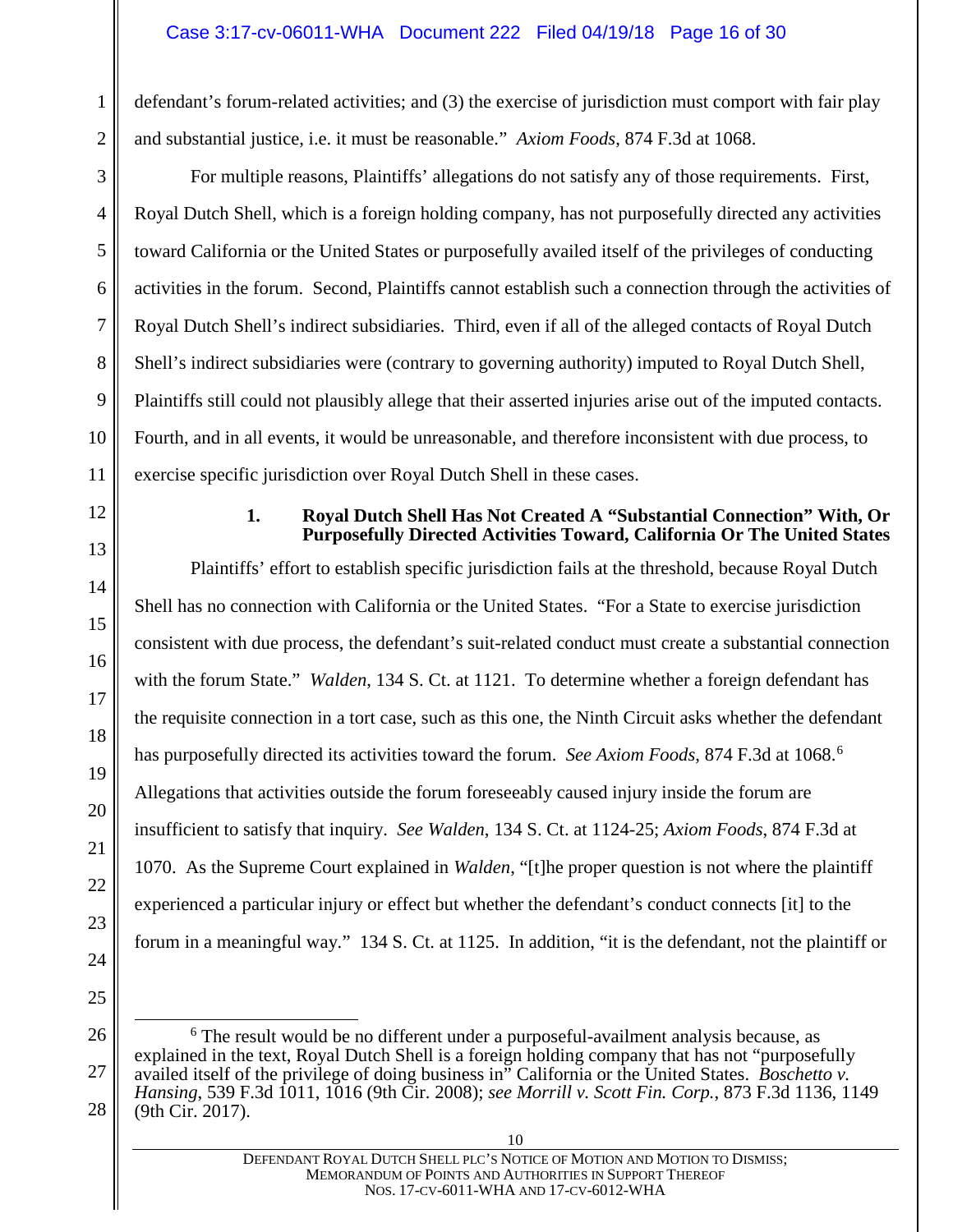defendant's forum-related activities; and (3) the exercise of jurisdiction must comport with fair play and substantial justice, i.e. it must be reasonable." *Axiom Foods*, 874 F.3d at 1068.

For multiple reasons, Plaintiffs' allegations do not satisfy any of those requirements. First, Royal Dutch Shell, which is a foreign holding company, has not purposefully directed any activities toward California or the United States or purposefully availed itself of the privileges of conducting activities in the forum. Second, Plaintiffs cannot establish such a connection through the activities of Royal Dutch Shell's indirect subsidiaries. Third, even if all of the alleged contacts of Royal Dutch Shell's indirect subsidiaries were (contrary to governing authority) imputed to Royal Dutch Shell, Plaintiffs still could not plausibly allege that their asserted injuries arise out of the imputed contacts. Fourth, and in all events, it would be unreasonable, and therefore inconsistent with due process, to exercise specific jurisdiction over Royal Dutch Shell in these cases.

#### <span id="page-15-0"></span>12

13

14

15

16

17

18

19

20

21

22

23

24

25

1

2

3

4

5

6

7

8

9

10

11

#### **1. Royal Dutch Shell Has Not Created A "Substantial Connection" With, Or Purposefully Directed Activities Toward, California Or The United States**

Plaintiffs' effort to establish specific jurisdiction fails at the threshold, because Royal Dutch Shell has no connection with California or the United States. "For a State to exercise jurisdiction consistent with due process, the defendant's suit-related conduct must create a substantial connection with the forum State." *Walden*, 134 S. Ct. at 1121. To determine whether a foreign defendant has the requisite connection in a tort case, such as this one, the Ninth Circuit asks whether the defendant has purposefully directed its activities toward the forum. *See Axiom Foods*, 874 F.3d at 1068. [6](#page-15-1) Allegations that activities outside the forum foreseeably caused injury inside the forum are insufficient to satisfy that inquiry. *See Walden*, 134 S. Ct. at 1124-25; *Axiom Foods*, 874 F.3d at 1070. As the Supreme Court explained in *Walden*, "[t]he proper question is not where the plaintiff experienced a particular injury or effect but whether the defendant's conduct connects [it] to the forum in a meaningful way." 134 S. Ct. at 1125. In addition, "it is the defendant, not the plaintiff or

<span id="page-15-1"></span>26 27 28 6 The result would be no different under a purposeful-availment analysis because, as explained in the text, Royal Dutch Shell is a foreign holding company that has not "purposefully availed itself of the privilege of doing business in" California or the United States. *Boschetto v. Hansing*, 539 F.3d 1011, 1016 (9th Cir. 2008); *see Morrill v. Scott Fin. Corp.*, 873 F.3d 1136, 1149 (9th Cir. 2017).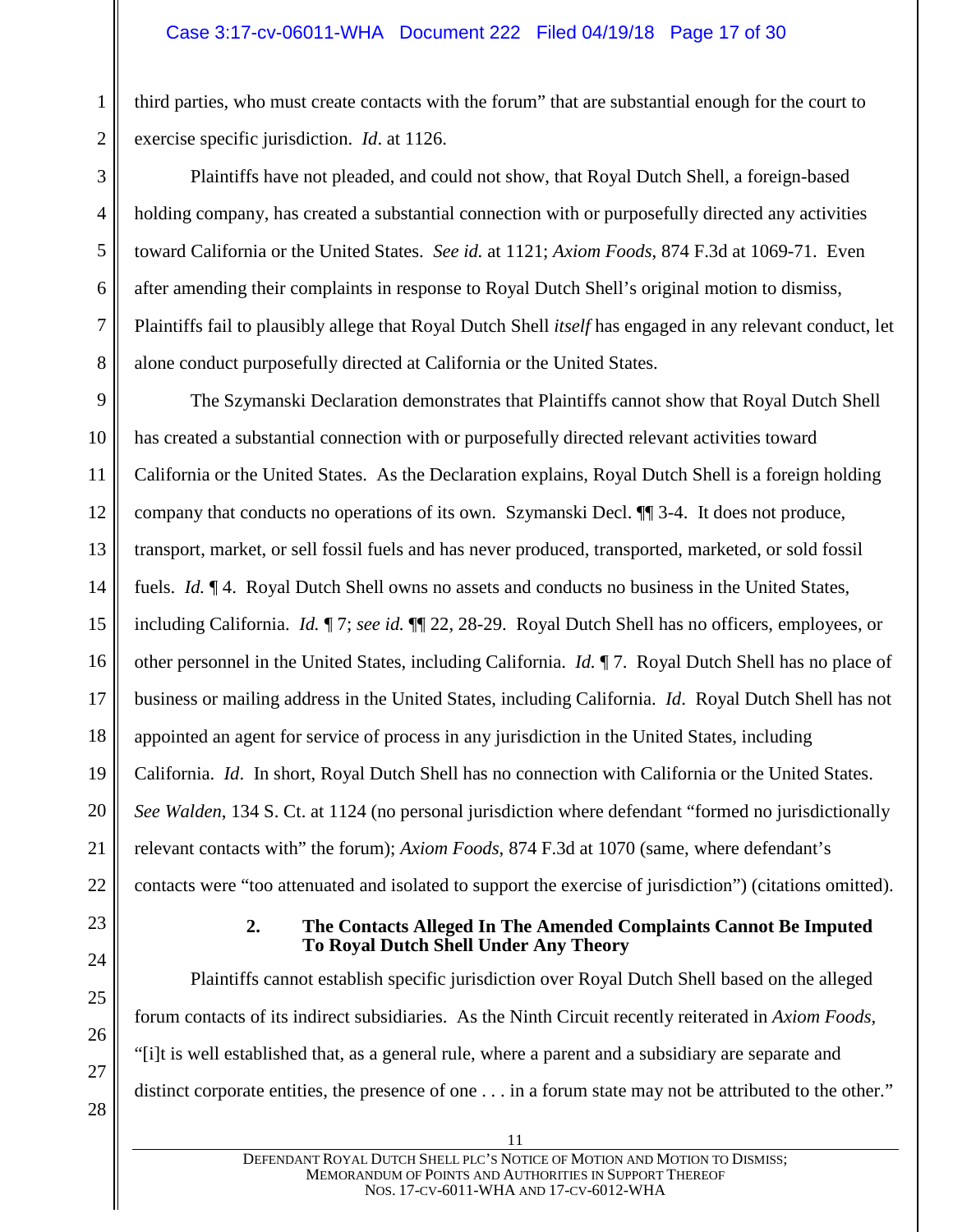third parties, who must create contacts with the forum" that are substantial enough for the court to exercise specific jurisdiction. *Id*. at 1126.

Plaintiffs have not pleaded, and could not show, that Royal Dutch Shell, a foreign-based holding company, has created a substantial connection with or purposefully directed any activities toward California or the United States. *See id.* at 1121; *Axiom Foods*, 874 F.3d at 1069-71. Even after amending their complaints in response to Royal Dutch Shell's original motion to dismiss, Plaintiffs fail to plausibly allege that Royal Dutch Shell *itself* has engaged in any relevant conduct, let alone conduct purposefully directed at California or the United States.

9 10 11 12 13 14 15 16 17 18 19 20 21 22 The Szymanski Declaration demonstrates that Plaintiffs cannot show that Royal Dutch Shell has created a substantial connection with or purposefully directed relevant activities toward California or the United States. As the Declaration explains, Royal Dutch Shell is a foreign holding company that conducts no operations of its own. Szymanski Decl. ¶¶ 3-4. It does not produce, transport, market, or sell fossil fuels and has never produced, transported, marketed, or sold fossil fuels. *Id.* ¶ 4. Royal Dutch Shell owns no assets and conducts no business in the United States, including California. *Id.* ¶ 7; *see id.* ¶¶ 22, 28-29. Royal Dutch Shell has no officers, employees, or other personnel in the United States, including California. *Id.* ¶ 7. Royal Dutch Shell has no place of business or mailing address in the United States, including California. *Id*. Royal Dutch Shell has not appointed an agent for service of process in any jurisdiction in the United States, including California. *Id*. In short, Royal Dutch Shell has no connection with California or the United States. *See Walden*, 134 S. Ct. at 1124 (no personal jurisdiction where defendant "formed no jurisdictionally relevant contacts with" the forum); *Axiom Foods*, 874 F.3d at 1070 (same, where defendant's contacts were "too attenuated and isolated to support the exercise of jurisdiction") (citations omitted).

<span id="page-16-0"></span>23

24

25

26

27

1

2

3

4

5

6

7

8

#### **2. The Contacts Alleged In The Amended Complaints Cannot Be Imputed To Royal Dutch Shell Under Any Theory**

Plaintiffs cannot establish specific jurisdiction over Royal Dutch Shell based on the alleged forum contacts of its indirect subsidiaries. As the Ninth Circuit recently reiterated in *Axiom Foods*, "[i]t is well established that, as a general rule, where a parent and a subsidiary are separate and distinct corporate entities, the presence of one . . . in a forum state may not be attributed to the other."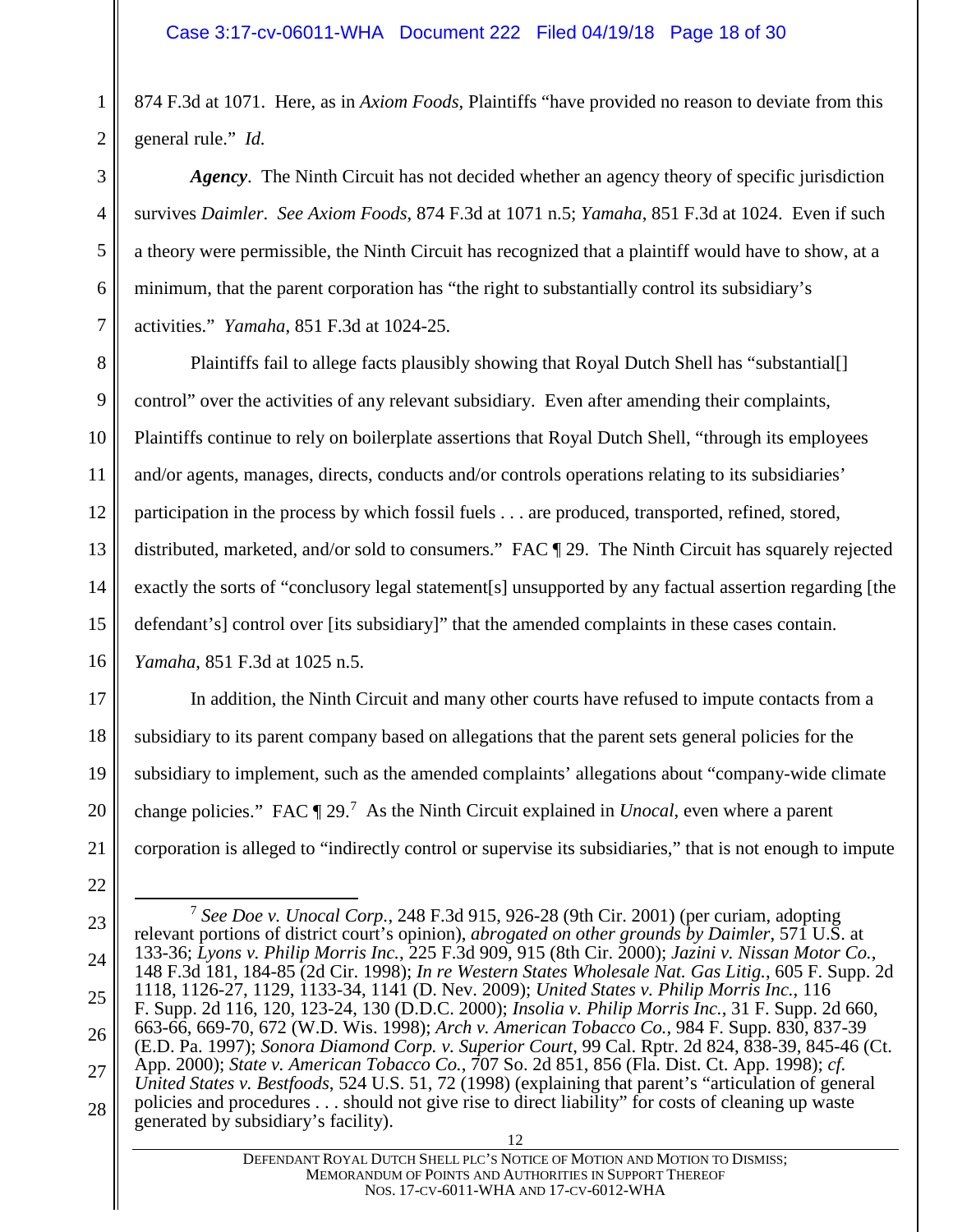874 F.3d at 1071. Here, as in *Axiom Foods*, Plaintiffs "have provided no reason to deviate from this general rule." *Id.*

*Agency*. The Ninth Circuit has not decided whether an agency theory of specific jurisdiction survives *Daimler*. *See Axiom Foods*, 874 F.3d at 1071 n.5; *Yamaha*, 851 F.3d at 1024. Even if such a theory were permissible, the Ninth Circuit has recognized that a plaintiff would have to show, at a minimum, that the parent corporation has "the right to substantially control its subsidiary's activities." *Yamaha*, 851 F.3d at 1024-25.

8 9 10 11 12 13 14 15 16 Plaintiffs fail to allege facts plausibly showing that Royal Dutch Shell has "substantial[] control" over the activities of any relevant subsidiary. Even after amending their complaints, Plaintiffs continue to rely on boilerplate assertions that Royal Dutch Shell, "through its employees and/or agents, manages, directs, conducts and/or controls operations relating to its subsidiaries' participation in the process by which fossil fuels . . . are produced, transported, refined, stored, distributed, marketed, and/or sold to consumers." FAC ¶ 29. The Ninth Circuit has squarely rejected exactly the sorts of "conclusory legal statement[s] unsupported by any factual assertion regarding [the defendant's] control over [its subsidiary]" that the amended complaints in these cases contain. *Yamaha*, 851 F.3d at 1025 n.5.

In addition, the Ninth Circuit and many other courts have refused to impute contacts from a subsidiary to its parent company based on allegations that the parent sets general policies for the subsidiary to implement, such as the amended complaints' allegations about "company-wide climate change policies." FAC ¶ 29.<sup>[7](#page-17-0)</sup> As the Ninth Circuit explained in *Unocal*, even where a parent corporation is alleged to "indirectly control or supervise its subsidiaries," that is not enough to impute

5

6

7

17

18

19

20

21

22

<span id="page-17-0"></span><sup>23</sup> 24 25 26 27 28 12 7 *See Doe v. Unocal Corp.*, 248 F.3d 915, 926-28 (9th Cir. 2001) (per curiam, adopting relevant portions of district court's opinion), *abrogated on other grounds by Daimler*, 571 U.S. at 133-36; *Lyons v. Philip Morris Inc.*, 225 F.3d 909, 915 (8th Cir. 2000); *Jazini v. Nissan Motor Co.*, 148 F.3d 181, 184-85 (2d Cir. 1998); *In re Western States Wholesale Nat. Gas Litig.*, 605 F. Supp. 2d 1118, 1126-27, 1129, 1133-34, 1141 (D. Nev. 2009); *United States v. Philip Morris Inc.*, 116 F. Supp. 2d 116, 120, 123-24, 130 (D.D.C. 2000); *Insolia v. Philip Morris Inc.*, 31 F. Supp. 2d 660, 663-66, 669-70, 672 (W.D. Wis. 1998); *Arch v. American Tobacco Co.*, 984 F. Supp. 830, 837-39 (E.D. Pa. 1997); *Sonora Diamond Corp. v. Superior Court*, 99 Cal. Rptr. 2d 824, 838-39, 845-46 (Ct. App. 2000); *State v. American Tobacco Co.*, 707 So. 2d 851, 856 (Fla. Dist. Ct. App. 1998); *cf. United States v. Bestfoods*, 524 U.S. 51, 72 (1998) (explaining that parent's "articulation of general policies and procedures . . . should not give rise to direct liability" for costs of cleaning up waste generated by subsidiary's facility).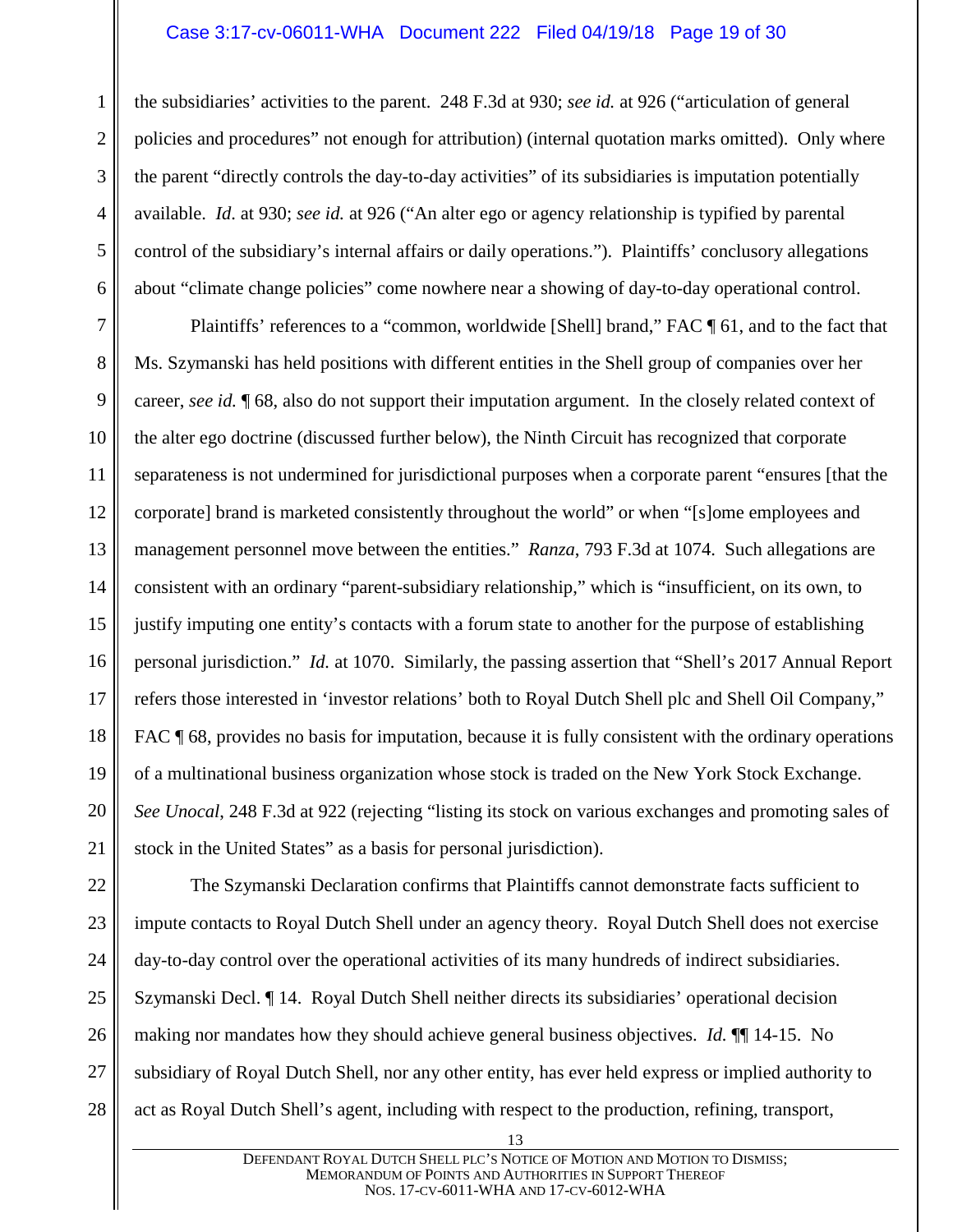#### Case 3:17-cv-06011-WHA Document 222 Filed 04/19/18 Page 19 of 30

the subsidiaries' activities to the parent. 248 F.3d at 930; *see id.* at 926 ("articulation of general policies and procedures" not enough for attribution) (internal quotation marks omitted). Only where the parent "directly controls the day-to-day activities" of its subsidiaries is imputation potentially available. *Id*. at 930; *see id.* at 926 ("An alter ego or agency relationship is typified by parental control of the subsidiary's internal affairs or daily operations."). Plaintiffs' conclusory allegations about "climate change policies" come nowhere near a showing of day-to-day operational control.

Plaintiffs' references to a "common, worldwide [Shell] brand," FAC ¶ 61, and to the fact that Ms. Szymanski has held positions with different entities in the Shell group of companies over her career, *see id.* ¶ 68, also do not support their imputation argument. In the closely related context of the alter ego doctrine (discussed further below), the Ninth Circuit has recognized that corporate separateness is not undermined for jurisdictional purposes when a corporate parent "ensures [that the corporate] brand is marketed consistently throughout the world" or when "[s]ome employees and management personnel move between the entities." *Ranza*, 793 F.3d at 1074. Such allegations are consistent with an ordinary "parent-subsidiary relationship," which is "insufficient, on its own, to justify imputing one entity's contacts with a forum state to another for the purpose of establishing personal jurisdiction." *Id.* at 1070. Similarly, the passing assertion that "Shell's 2017 Annual Report refers those interested in 'investor relations' both to Royal Dutch Shell plc and Shell Oil Company," FAC  $\P$  68, provides no basis for imputation, because it is fully consistent with the ordinary operations of a multinational business organization whose stock is traded on the New York Stock Exchange. *See Unocal*, 248 F.3d at 922 (rejecting "listing its stock on various exchanges and promoting sales of stock in the United States" as a basis for personal jurisdiction).

22 23 24 25 26 27 28 The Szymanski Declaration confirms that Plaintiffs cannot demonstrate facts sufficient to impute contacts to Royal Dutch Shell under an agency theory. Royal Dutch Shell does not exercise day-to-day control over the operational activities of its many hundreds of indirect subsidiaries. Szymanski Decl. ¶ 14. Royal Dutch Shell neither directs its subsidiaries' operational decision making nor mandates how they should achieve general business objectives. *Id.* ¶¶ 14-15. No subsidiary of Royal Dutch Shell, nor any other entity, has ever held express or implied authority to act as Royal Dutch Shell's agent, including with respect to the production, refining, transport,

1

2

3

4

5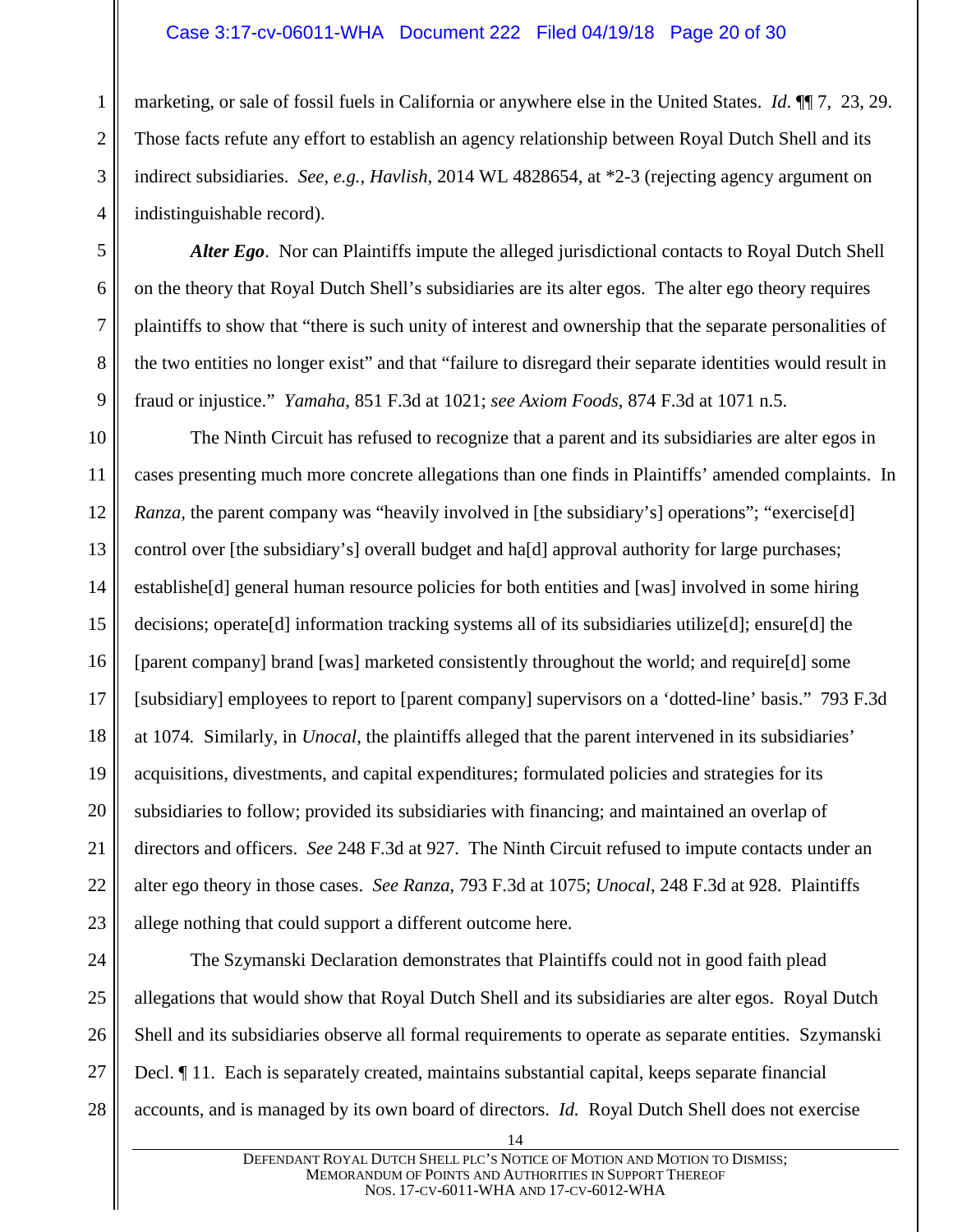#### Case 3:17-cv-06011-WHA Document 222 Filed 04/19/18 Page 20 of 30

marketing, or sale of fossil fuels in California or anywhere else in the United States. *Id*. ¶¶ 7, 23, 29. Those facts refute any effort to establish an agency relationship between Royal Dutch Shell and its indirect subsidiaries. *See*, *e.g.*, *Havlish*, 2014 WL 4828654, at \*2-3 (rejecting agency argument on indistinguishable record).

*Alter Ego*. Nor can Plaintiffs impute the alleged jurisdictional contacts to Royal Dutch Shell on the theory that Royal Dutch Shell's subsidiaries are its alter egos. The alter ego theory requires plaintiffs to show that "there is such unity of interest and ownership that the separate personalities of the two entities no longer exist" and that "failure to disregard their separate identities would result in fraud or injustice." *Yamaha*, 851 F.3d at 1021; *see Axiom Foods*, 874 F.3d at 1071 n.5.

10 11 12 13 14 15 16 17 18 19 20 21 22 23 The Ninth Circuit has refused to recognize that a parent and its subsidiaries are alter egos in cases presenting much more concrete allegations than one finds in Plaintiffs' amended complaints. In *Ranza*, the parent company was "heavily involved in [the subsidiary's] operations"; "exercise[d] control over [the subsidiary's] overall budget and ha[d] approval authority for large purchases; establishe[d] general human resource policies for both entities and [was] involved in some hiring decisions; operate[d] information tracking systems all of its subsidiaries utilize[d]; ensure[d] the [parent company] brand [was] marketed consistently throughout the world; and require[d] some [subsidiary] employees to report to [parent company] supervisors on a 'dotted-line' basis." 793 F.3d at 1074*.* Similarly, in *Unocal*, the plaintiffs alleged that the parent intervened in its subsidiaries' acquisitions, divestments, and capital expenditures; formulated policies and strategies for its subsidiaries to follow; provided its subsidiaries with financing; and maintained an overlap of directors and officers. *See* 248 F.3d at 927. The Ninth Circuit refused to impute contacts under an alter ego theory in those cases. *See Ranza*, 793 F.3d at 1075; *Unocal*, 248 F.3d at 928. Plaintiffs allege nothing that could support a different outcome here.

24 25

26

27

28

1

2

3

4

5

6

7

8

9

The Szymanski Declaration demonstrates that Plaintiffs could not in good faith plead allegations that would show that Royal Dutch Shell and its subsidiaries are alter egos. Royal Dutch Shell and its subsidiaries observe all formal requirements to operate as separate entities. Szymanski Decl. ¶ 11. Each is separately created, maintains substantial capital, keeps separate financial accounts, and is managed by its own board of directors. *Id.* Royal Dutch Shell does not exercise

DEFENDANT ROYAL DUTCH SHELL PLC'S NOTICE OF MOTION AND MOTION TO DISMISS; MEMORANDUM OF POINTS AND AUTHORITIES IN SUPPORT THEREOF NOS. 17-CV-6011-WHA AND 17-CV-6012-WHA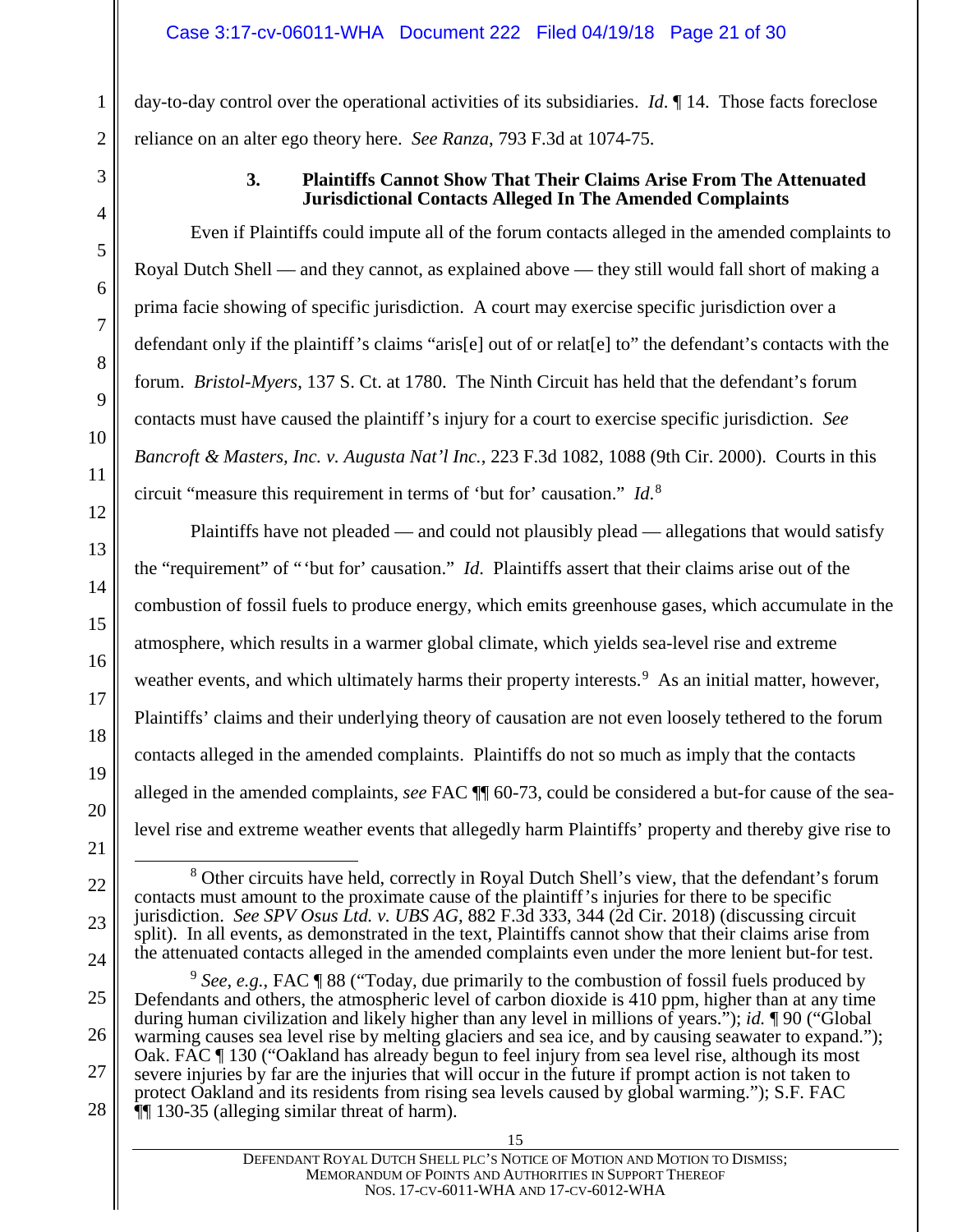day-to-day control over the operational activities of its subsidiaries. *Id*. ¶ 14. Those facts foreclose reliance on an alter ego theory here. *See Ranza*, 793 F.3d at 1074-75.

<span id="page-20-0"></span>

1

2

3

4

5

### **3. Plaintiffs Cannot Show That Their Claims Arise From The Attenuated Jurisdictional Contacts Alleged In The Amended Complaints**

Even if Plaintiffs could impute all of the forum contacts alleged in the amended complaints to Royal Dutch Shell — and they cannot, as explained above — they still would fall short of making a prima facie showing of specific jurisdiction. A court may exercise specific jurisdiction over a defendant only if the plaintiff's claims "aris[e] out of or relat[e] to" the defendant's contacts with the forum. *Bristol-Myers*, 137 S. Ct. at 1780. The Ninth Circuit has held that the defendant's forum contacts must have caused the plaintiff's injury for a court to exercise specific jurisdiction. *See Bancroft & Masters, Inc. v. Augusta Nat'l Inc.*, 223 F.3d 1082, 1088 (9th Cir. 2000). Courts in this circuit "measure this requirement in terms of 'but for' causation." *Id*. [8](#page-20-1)

Plaintiffs have not pleaded — and could not plausibly plead — allegations that would satisfy the "requirement" of "'but for' causation." *Id*. Plaintiffs assert that their claims arise out of the combustion of fossil fuels to produce energy, which emits greenhouse gases, which accumulate in the atmosphere, which results in a warmer global climate, which yields sea-level rise and extreme weather events, and which ultimately harms their property interests.<sup>[9](#page-20-2)</sup> As an initial matter, however, Plaintiffs' claims and their underlying theory of causation are not even loosely tethered to the forum contacts alleged in the amended complaints. Plaintiffs do not so much as imply that the contacts alleged in the amended complaints, *see* FAC ¶¶ 60-73, could be considered a but-for cause of the sealevel rise and extreme weather events that allegedly harm Plaintiffs' property and thereby give rise to

<span id="page-20-1"></span><sup>8</sup> Other circuits have held, correctly in Royal Dutch Shell's view, that the defendant's forum contacts must amount to the proximate cause of the plaintiff's injuries for there to be specific jurisdiction. *See SPV Osus Ltd. v. UBS AG*, 882 F.3d 333, 344 (2d Cir. 2018) (discussing circuit split). In all events, as demonstrated in the text, Plaintiffs cannot show that their claims arise from the attenuated contacts alleged in the amended complaints even under the more lenient but-for test.

DEFENDANT ROYAL DUTCH SHELL PLC'S NOTICE OF MOTION AND MOTION TO DISMISS; MEMORANDUM OF POINTS AND AUTHORITIES IN SUPPORT THEREOF NOS. 17-CV-6011-WHA AND 17-CV-6012-WHA

<span id="page-20-2"></span><sup>9</sup> *See*, *e.g.*, FAC ¶ 88 ("Today, due primarily to the combustion of fossil fuels produced by Defendants and others, the atmospheric level of carbon dioxide is 410 ppm, higher than at any time during human civilization and likely higher than any level in millions of years."); *id.* ¶ 90 ("Global warming causes sea level rise by melting glaciers and sea ice, and by causing seawater to expand."); Oak. FAC ¶ 130 ("Oakland has already begun to feel injury from sea level rise, although its most severe injuries by far are the injuries that will occur in the future if prompt action is not taken to protect Oakland and its residents from rising sea levels caused by global warming."); S.F. FAC ¶¶ 130-35 (alleging similar threat of harm).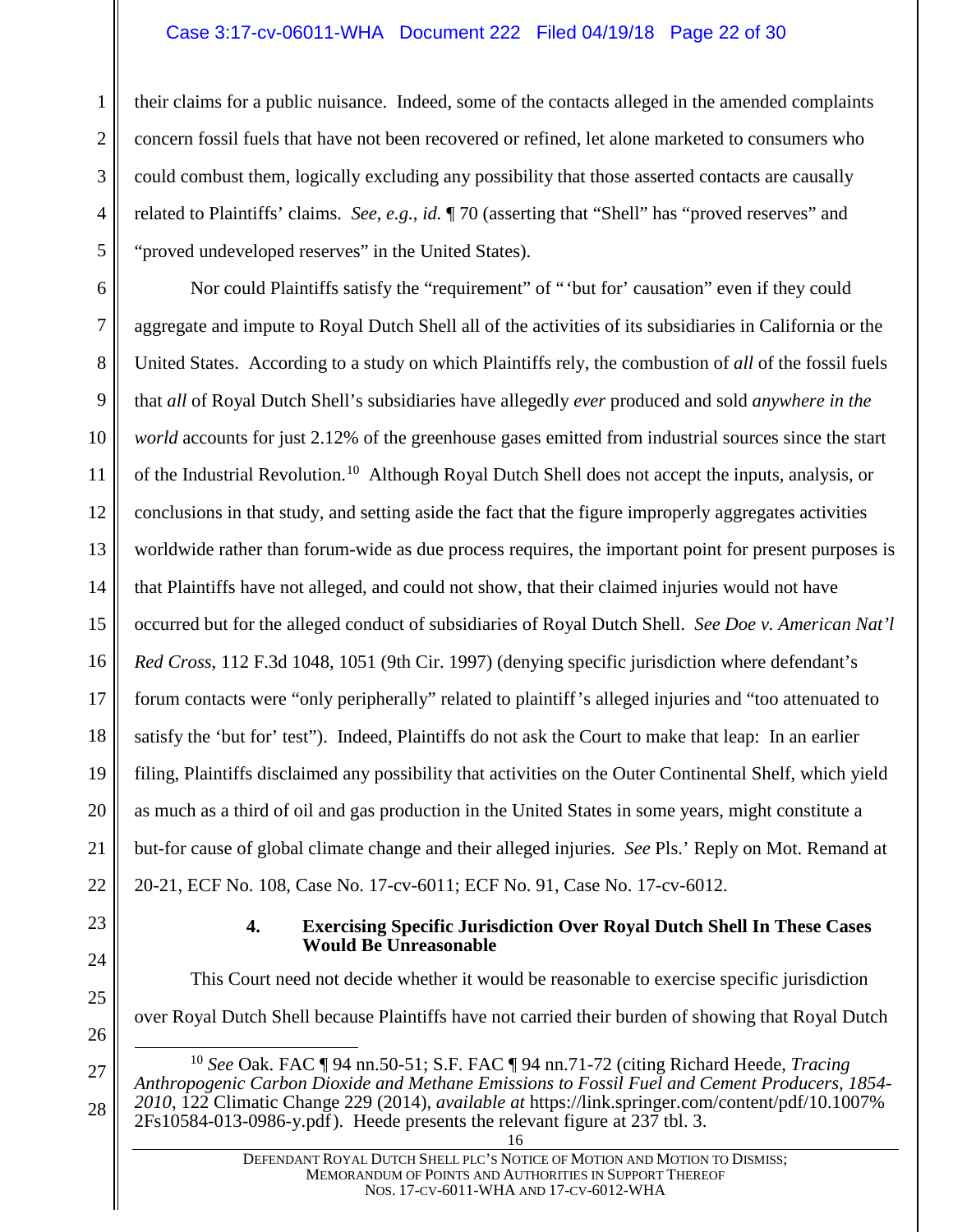#### Case 3:17-cv-06011-WHA Document 222 Filed 04/19/18 Page 22 of 30

their claims for a public nuisance. Indeed, some of the contacts alleged in the amended complaints concern fossil fuels that have not been recovered or refined, let alone marketed to consumers who could combust them, logically excluding any possibility that those asserted contacts are causally related to Plaintiffs' claims. *See*, *e.g.*, *id.* ¶ 70 (asserting that "Shell" has "proved reserves" and "proved undeveloped reserves" in the United States).

6 7 8 9 10 11 12 13 14 15 16 17 18 19 20 21 22 Nor could Plaintiffs satisfy the "requirement" of "'but for' causation" even if they could aggregate and impute to Royal Dutch Shell all of the activities of its subsidiaries in California or the United States. According to a study on which Plaintiffs rely, the combustion of *all* of the fossil fuels that *all* of Royal Dutch Shell's subsidiaries have allegedly *ever* produced and sold *anywhere in the world* accounts for just 2.12% of the greenhouse gases emitted from industrial sources since the start of the Industrial Revolution.[10](#page-21-1) Although Royal Dutch Shell does not accept the inputs, analysis, or conclusions in that study, and setting aside the fact that the figure improperly aggregates activities worldwide rather than forum-wide as due process requires, the important point for present purposes is that Plaintiffs have not alleged, and could not show, that their claimed injuries would not have occurred but for the alleged conduct of subsidiaries of Royal Dutch Shell. *See Doe v. American Nat'l Red Cross*, 112 F.3d 1048, 1051 (9th Cir. 1997) (denying specific jurisdiction where defendant's forum contacts were "only peripherally" related to plaintiff's alleged injuries and "too attenuated to satisfy the 'but for' test"). Indeed, Plaintiffs do not ask the Court to make that leap: In an earlier filing, Plaintiffs disclaimed any possibility that activities on the Outer Continental Shelf, which yield as much as a third of oil and gas production in the United States in some years, might constitute a but-for cause of global climate change and their alleged injuries. *See* Pls.' Reply on Mot. Remand at 20-21, ECF No. 108, Case No. 17-cv-6011; ECF No. 91, Case No. 17-cv-6012.

<span id="page-21-0"></span>23 24

25

26

<span id="page-21-1"></span>27

28

1

2

3

4

5

#### **4. Exercising Specific Jurisdiction Over Royal Dutch Shell In These Cases Would Be Unreasonable**

This Court need not decide whether it would be reasonable to exercise specific jurisdiction over Royal Dutch Shell because Plaintiffs have not carried their burden of showing that Royal Dutch

 <sup>10</sup> *See* Oak. FAC ¶ 94 nn.50-51; S.F. FAC ¶ 94 nn.71-72 (citing Richard Heede, *Tracing Anthropogenic Carbon Dioxide and Methane Emissions to Fossil Fuel and Cement Producers, 1854- <sup>2010</sup>*, 122 Climatic Change 229 (2014), *available at* https://link.springer.com/content/pdf/10.1007% 2Fs10584-013-0986-y.pdf). Heede presents the relevant figure at 237 tbl. 3.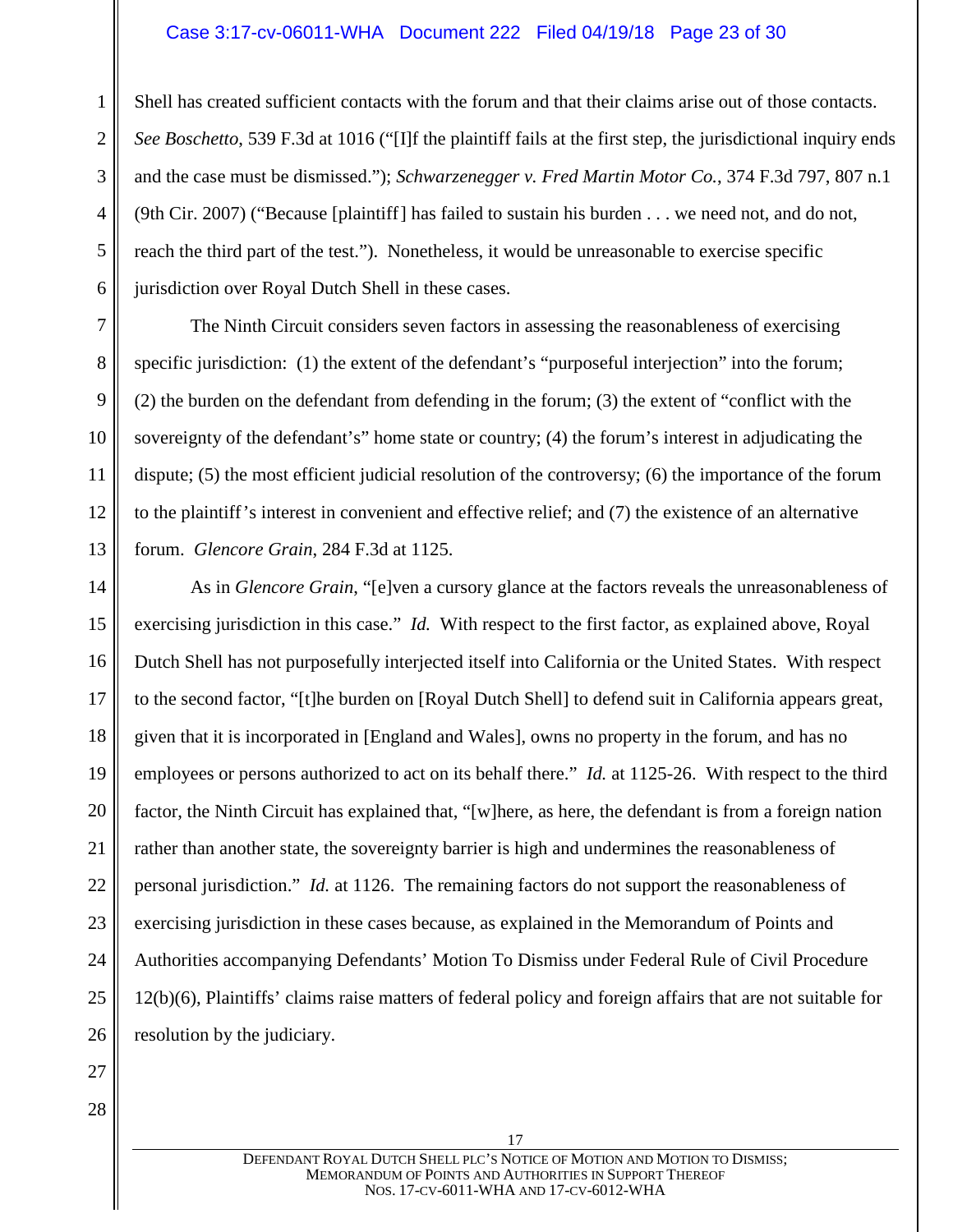#### Case 3:17-cv-06011-WHA Document 222 Filed 04/19/18 Page 23 of 30

Shell has created sufficient contacts with the forum and that their claims arise out of those contacts. *See Boschetto*, 539 F.3d at 1016 ("[I]f the plaintiff fails at the first step, the jurisdictional inquiry ends and the case must be dismissed."); *Schwarzenegger v. Fred Martin Motor Co.*, 374 F.3d 797, 807 n.1 (9th Cir. 2007) ("Because [plaintiff] has failed to sustain his burden . . . we need not, and do not, reach the third part of the test."). Nonetheless, it would be unreasonable to exercise specific jurisdiction over Royal Dutch Shell in these cases.

The Ninth Circuit considers seven factors in assessing the reasonableness of exercising specific jurisdiction: (1) the extent of the defendant's "purposeful interjection" into the forum; (2) the burden on the defendant from defending in the forum; (3) the extent of "conflict with the sovereignty of the defendant's" home state or country; (4) the forum's interest in adjudicating the dispute; (5) the most efficient judicial resolution of the controversy; (6) the importance of the forum to the plaintiff's interest in convenient and effective relief; and (7) the existence of an alternative forum. *Glencore Grain*, 284 F.3d at 1125.

14 15 16 17 18 19 20 21 22 23 24 25 26 As in *Glencore Grain*, "[e]ven a cursory glance at the factors reveals the unreasonableness of exercising jurisdiction in this case." *Id.* With respect to the first factor, as explained above, Royal Dutch Shell has not purposefully interjected itself into California or the United States. With respect to the second factor, "[t]he burden on [Royal Dutch Shell] to defend suit in California appears great, given that it is incorporated in [England and Wales], owns no property in the forum, and has no employees or persons authorized to act on its behalf there." *Id.* at 1125-26. With respect to the third factor, the Ninth Circuit has explained that, "[w]here, as here, the defendant is from a foreign nation rather than another state, the sovereignty barrier is high and undermines the reasonableness of personal jurisdiction." *Id.* at 1126. The remaining factors do not support the reasonableness of exercising jurisdiction in these cases because, as explained in the Memorandum of Points and Authorities accompanying Defendants' Motion To Dismiss under Federal Rule of Civil Procedure 12(b)(6), Plaintiffs' claims raise matters of federal policy and foreign affairs that are not suitable for resolution by the judiciary.

27

1

2

3

4

5

6

7

8

9

10

11

12

13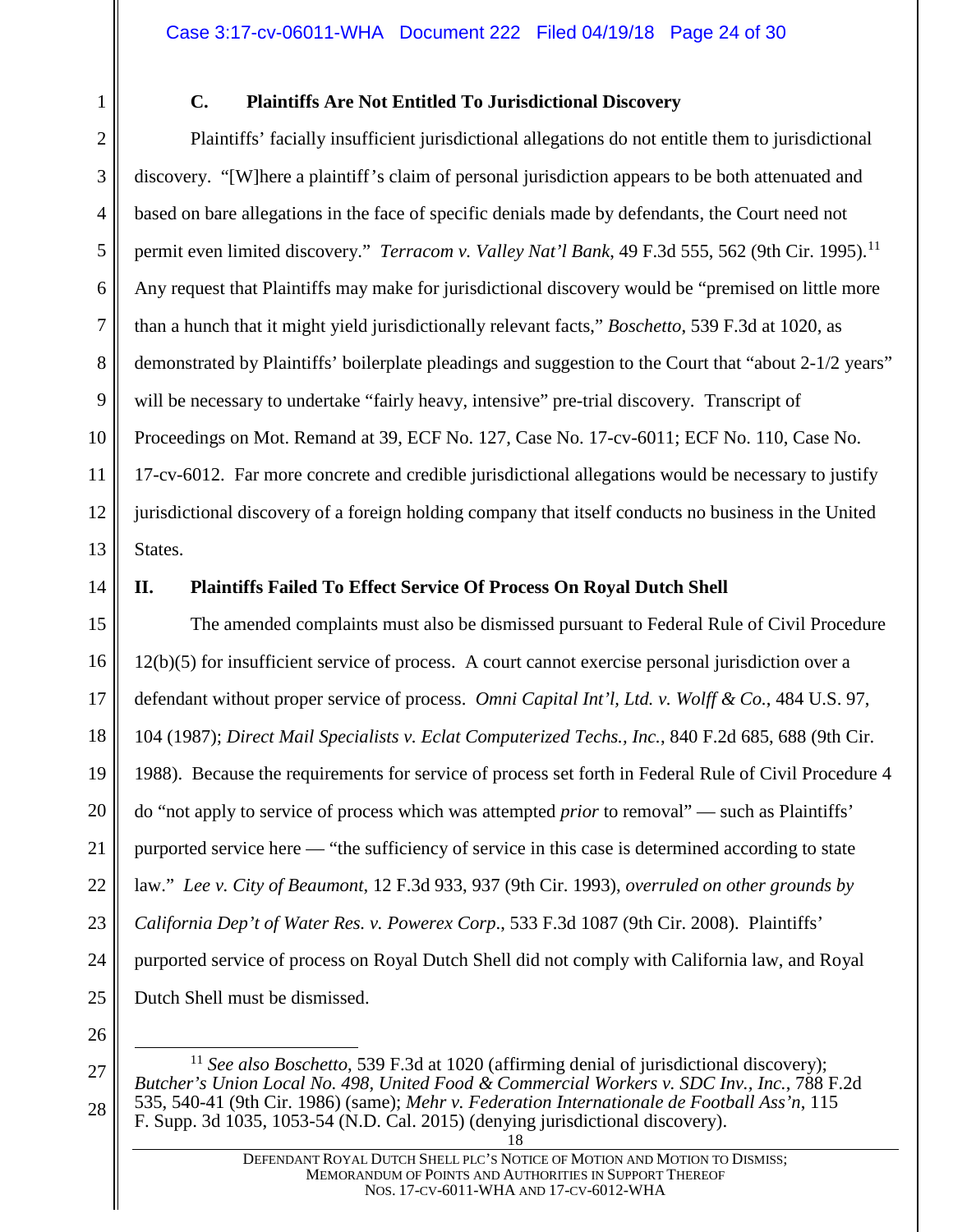<span id="page-23-0"></span>

# **C. Plaintiffs Are Not Entitled To Jurisdictional Discovery**

2 3 4 5 6 7 8 9 10 11 12 13 Plaintiffs' facially insufficient jurisdictional allegations do not entitle them to jurisdictional discovery. "[W]here a plaintiff's claim of personal jurisdiction appears to be both attenuated and based on bare allegations in the face of specific denials made by defendants, the Court need not permit even limited discovery." *Terracom v. Valley Nat'l Bank*, 49 F.3d 555, 562 (9th Cir. 1995). [11](#page-23-2)  Any request that Plaintiffs may make for jurisdictional discovery would be "premised on little more than a hunch that it might yield jurisdictionally relevant facts," *Boschetto*, 539 F.3d at 1020, as demonstrated by Plaintiffs' boilerplate pleadings and suggestion to the Court that "about 2-1/2 years" will be necessary to undertake "fairly heavy, intensive" pre-trial discovery. Transcript of Proceedings on Mot. Remand at 39, ECF No. 127, Case No. 17-cv-6011; ECF No. 110, Case No. 17-cv-6012. Far more concrete and credible jurisdictional allegations would be necessary to justify jurisdictional discovery of a foreign holding company that itself conducts no business in the United States.

14

# <span id="page-23-1"></span>**II. Plaintiffs Failed To Effect Service Of Process On Royal Dutch Shell**

15 16 17 18 19 20 21 22 23 24 25 The amended complaints must also be dismissed pursuant to Federal Rule of Civil Procedure 12(b)(5) for insufficient service of process. A court cannot exercise personal jurisdiction over a defendant without proper service of process. *Omni Capital Int'l, Ltd. v. Wolff & Co.*, 484 U.S. 97, 104 (1987); *Direct Mail Specialists v. Eclat Computerized Techs., Inc.*, 840 F.2d 685, 688 (9th Cir. 1988). Because the requirements for service of process set forth in Federal Rule of Civil Procedure 4 do "not apply to service of process which was attempted *prior* to removal" — such as Plaintiffs' purported service here — "the sufficiency of service in this case is determined according to state law." *Lee v. City of Beaumont*, 12 F.3d 933, 937 (9th Cir. 1993), *overruled on other grounds by California Dep't of Water Res. v. Powerex Corp*., 533 F.3d 1087 (9th Cir. 2008). Plaintiffs' purported service of process on Royal Dutch Shell did not comply with California law, and Royal Dutch Shell must be dismissed.

- 26
- <span id="page-23-2"></span>27

<sup>&</sup>lt;sup>11</sup> See also Boschetto, 539 F.3d at 1020 (affirming denial of jurisdictional discovery); *Butcher's Union Local No. 498, United Food & Commercial Workers v. SDC Inv., Inc.*, 788 F.2d 535, 540-41 (9th Cir. 1986) (same); *Mehr v. Federation Internationale de Football Ass'n*, 115 F. Supp. 3d 1035, 1053-54 (N.D. Cal. 2015) (denying jurisdictional discovery).

<sup>18</sup>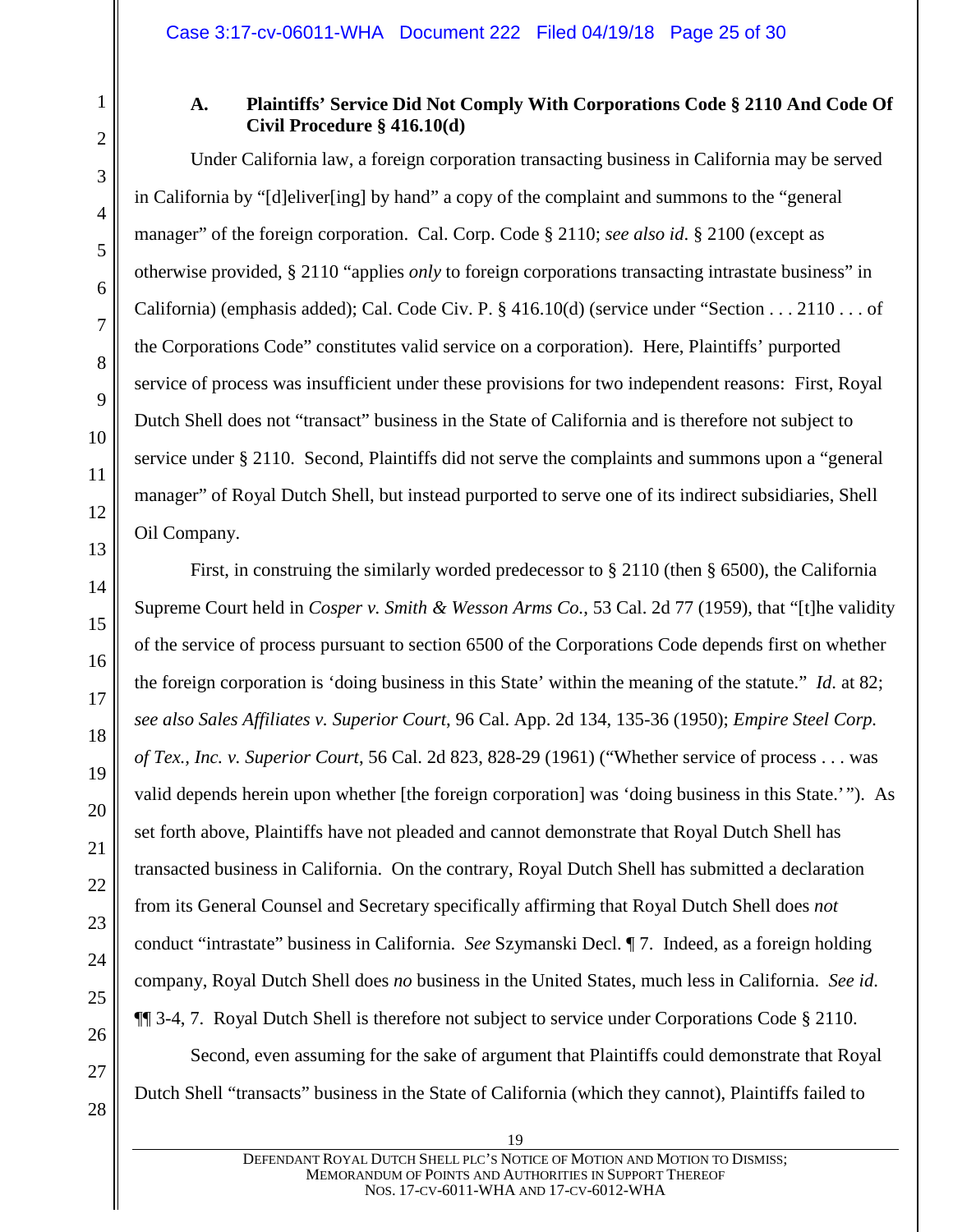<span id="page-24-0"></span>

2

3

4

5

6

7

8

 $\overline{Q}$ 

10

11

12

13

14

15

16

17

18

19

20

21

22

23

24

25

26

27

# **A. Plaintiffs' Service Did Not Comply With Corporations Code § 2110 And Code Of Civil Procedure § 416.10(d)**

Under California law, a foreign corporation transacting business in California may be served in California by "[d]eliver[ing] by hand" a copy of the complaint and summons to the "general manager" of the foreign corporation. Cal. Corp. Code § 2110; *see also id*. § 2100 (except as otherwise provided, § 2110 "applies *only* to foreign corporations transacting intrastate business" in California) (emphasis added); Cal. Code Civ. P.  $\S$  416.10(d) (service under "Section . . . 2110 . . . of the Corporations Code" constitutes valid service on a corporation). Here, Plaintiffs' purported service of process was insufficient under these provisions for two independent reasons: First, Royal Dutch Shell does not "transact" business in the State of California and is therefore not subject to service under § 2110. Second, Plaintiffs did not serve the complaints and summons upon a "general manager" of Royal Dutch Shell, but instead purported to serve one of its indirect subsidiaries, Shell Oil Company.

First, in construing the similarly worded predecessor to § 2110 (then § 6500), the California Supreme Court held in *Cosper v. Smith & Wesson Arms Co.*, 53 Cal. 2d 77 (1959), that "[t]he validity of the service of process pursuant to section 6500 of the Corporations Code depends first on whether the foreign corporation is 'doing business in this State' within the meaning of the statute." *Id*. at 82; *see also Sales Affiliates v. Superior Court*, 96 Cal. App. 2d 134, 135-36 (1950); *Empire Steel Corp. of Tex., Inc. v. Superior Court*, 56 Cal. 2d 823, 828-29 (1961) ("Whether service of process . . . was valid depends herein upon whether [the foreign corporation] was 'doing business in this State.'"). As set forth above, Plaintiffs have not pleaded and cannot demonstrate that Royal Dutch Shell has transacted business in California. On the contrary, Royal Dutch Shell has submitted a declaration from its General Counsel and Secretary specifically affirming that Royal Dutch Shell does *not* conduct "intrastate" business in California. *See* Szymanski Decl. ¶ 7. Indeed, as a foreign holding company, Royal Dutch Shell does *no* business in the United States, much less in California. *See id*. ¶¶ 3-4, 7. Royal Dutch Shell is therefore not subject to service under Corporations Code § 2110.

Second, even assuming for the sake of argument that Plaintiffs could demonstrate that Royal Dutch Shell "transacts" business in the State of California (which they cannot), Plaintiffs failed to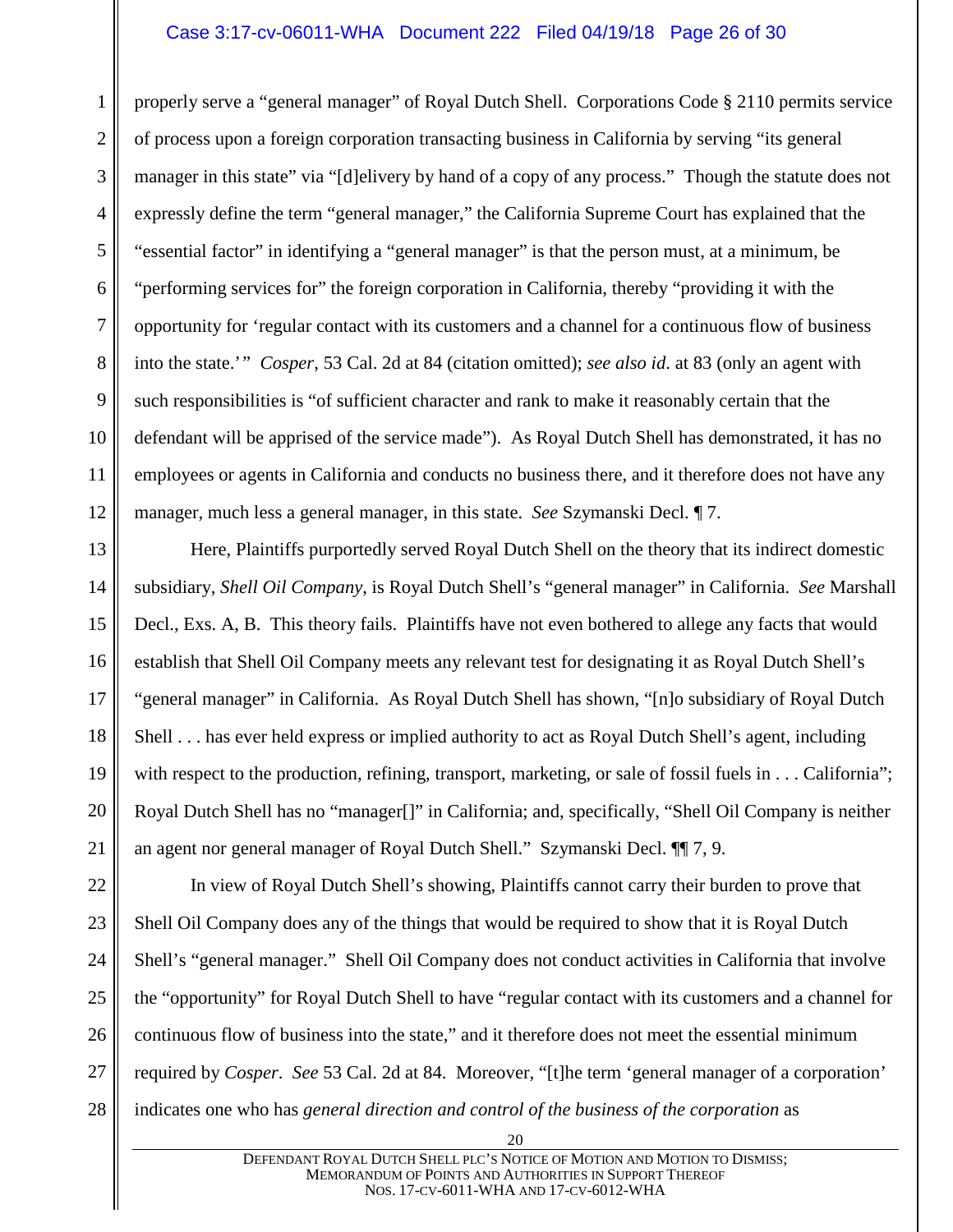#### Case 3:17-cv-06011-WHA Document 222 Filed 04/19/18 Page 26 of 30

1 2 3 4 5 6 7 8 9 10 11 12 properly serve a "general manager" of Royal Dutch Shell. Corporations Code § 2110 permits service of process upon a foreign corporation transacting business in California by serving "its general manager in this state" via "[d]elivery by hand of a copy of any process." Though the statute does not expressly define the term "general manager," the California Supreme Court has explained that the "essential factor" in identifying a "general manager" is that the person must, at a minimum, be "performing services for" the foreign corporation in California, thereby "providing it with the opportunity for 'regular contact with its customers and a channel for a continuous flow of business into the state.'" *Cosper*, 53 Cal. 2d at 84 (citation omitted); *see also id*. at 83 (only an agent with such responsibilities is "of sufficient character and rank to make it reasonably certain that the defendant will be apprised of the service made"). As Royal Dutch Shell has demonstrated, it has no employees or agents in California and conducts no business there, and it therefore does not have any manager, much less a general manager, in this state. *See* Szymanski Decl. ¶ 7.

13 14 15 16 17 18 19 20 21 Here, Plaintiffs purportedly served Royal Dutch Shell on the theory that its indirect domestic subsidiary, *Shell Oil Company*, is Royal Dutch Shell's "general manager" in California. *See* Marshall Decl., Exs. A, B. This theory fails. Plaintiffs have not even bothered to allege any facts that would establish that Shell Oil Company meets any relevant test for designating it as Royal Dutch Shell's "general manager" in California. As Royal Dutch Shell has shown, "[n]o subsidiary of Royal Dutch Shell . . . has ever held express or implied authority to act as Royal Dutch Shell's agent, including with respect to the production, refining, transport, marketing, or sale of fossil fuels in . . . California"; Royal Dutch Shell has no "manager[]" in California; and, specifically, "Shell Oil Company is neither an agent nor general manager of Royal Dutch Shell." Szymanski Decl. ¶¶ 7, 9.

22 23 24 25 26 27 28 In view of Royal Dutch Shell's showing, Plaintiffs cannot carry their burden to prove that Shell Oil Company does any of the things that would be required to show that it is Royal Dutch Shell's "general manager." Shell Oil Company does not conduct activities in California that involve the "opportunity" for Royal Dutch Shell to have "regular contact with its customers and a channel for continuous flow of business into the state," and it therefore does not meet the essential minimum required by *Cosper*. *See* 53 Cal. 2d at 84. Moreover, "[t]he term 'general manager of a corporation' indicates one who has *general direction and control of the business of the corporation* as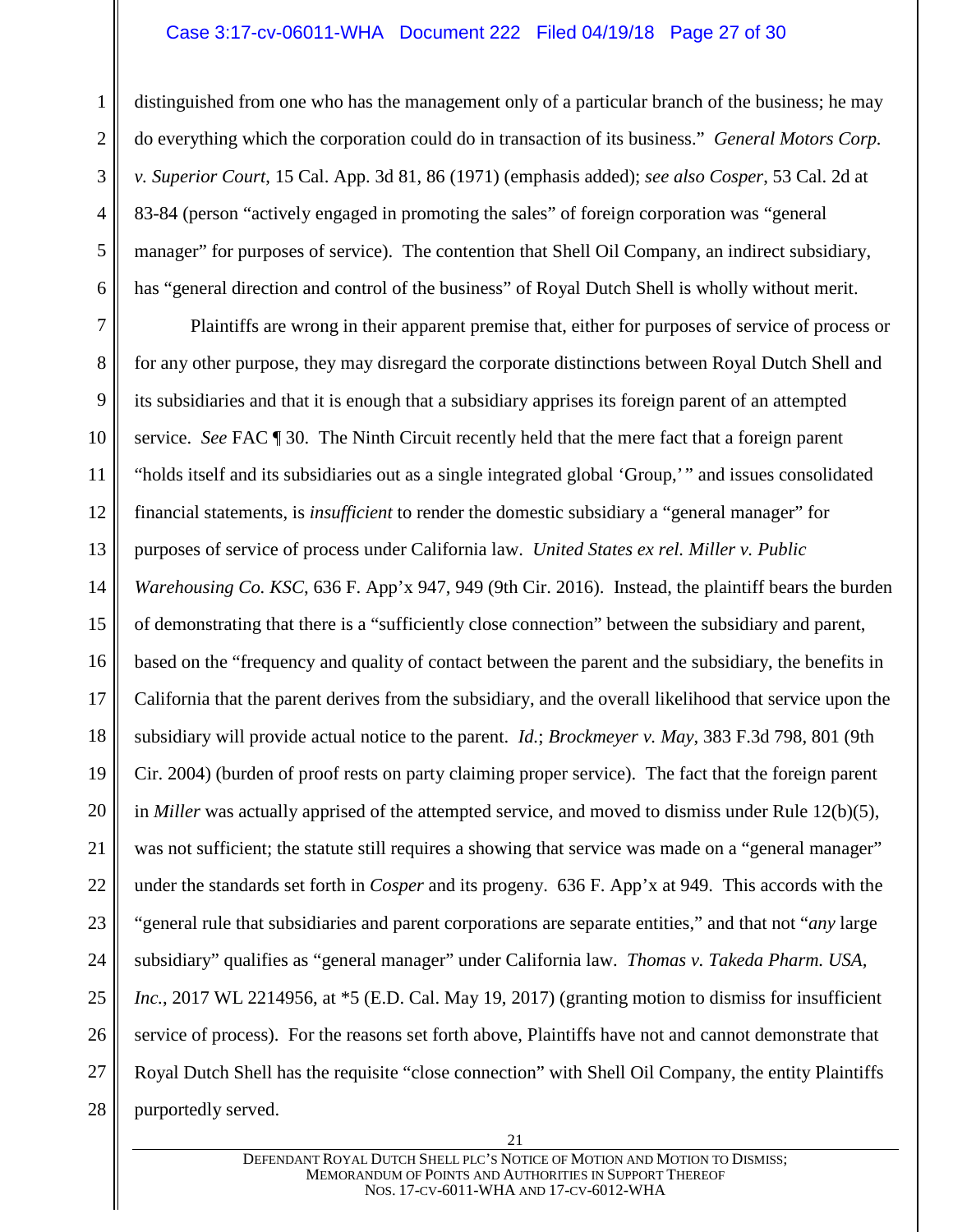#### Case 3:17-cv-06011-WHA Document 222 Filed 04/19/18 Page 27 of 30

1

2

3

4

5

6

distinguished from one who has the management only of a particular branch of the business; he may do everything which the corporation could do in transaction of its business." *General Motors Corp. v. Superior Court*, 15 Cal. App. 3d 81, 86 (1971) (emphasis added); *see also Cosper*, 53 Cal. 2d at 83-84 (person "actively engaged in promoting the sales" of foreign corporation was "general manager" for purposes of service). The contention that Shell Oil Company, an indirect subsidiary, has "general direction and control of the business" of Royal Dutch Shell is wholly without merit.

7 8 9 10 11 12 13 14 15 16 17 18 19 20 21 22 23 24 25 26 27 28 Plaintiffs are wrong in their apparent premise that, either for purposes of service of process or for any other purpose, they may disregard the corporate distinctions between Royal Dutch Shell and its subsidiaries and that it is enough that a subsidiary apprises its foreign parent of an attempted service. *See* FAC ¶ 30. The Ninth Circuit recently held that the mere fact that a foreign parent "holds itself and its subsidiaries out as a single integrated global 'Group,'" and issues consolidated financial statements, is *insufficient* to render the domestic subsidiary a "general manager" for purposes of service of process under California law. *United States ex rel. Miller v. Public Warehousing Co. KSC*, 636 F. App'x 947, 949 (9th Cir. 2016). Instead, the plaintiff bears the burden of demonstrating that there is a "sufficiently close connection" between the subsidiary and parent, based on the "frequency and quality of contact between the parent and the subsidiary, the benefits in California that the parent derives from the subsidiary, and the overall likelihood that service upon the subsidiary will provide actual notice to the parent. *Id.*; *Brockmeyer v. May*, 383 F.3d 798, 801 (9th Cir. 2004) (burden of proof rests on party claiming proper service). The fact that the foreign parent in *Miller* was actually apprised of the attempted service, and moved to dismiss under Rule 12(b)(5), was not sufficient; the statute still requires a showing that service was made on a "general manager" under the standards set forth in *Cosper* and its progeny. 636 F. App'x at 949. This accords with the "general rule that subsidiaries and parent corporations are separate entities," and that not "*any* large subsidiary" qualifies as "general manager" under California law. *Thomas v. Takeda Pharm. USA, Inc.*, 2017 WL 2214956, at  $*$ 5 (E.D. Cal. May 19, 2017) (granting motion to dismiss for insufficient service of process). For the reasons set forth above, Plaintiffs have not and cannot demonstrate that Royal Dutch Shell has the requisite "close connection" with Shell Oil Company, the entity Plaintiffs purportedly served.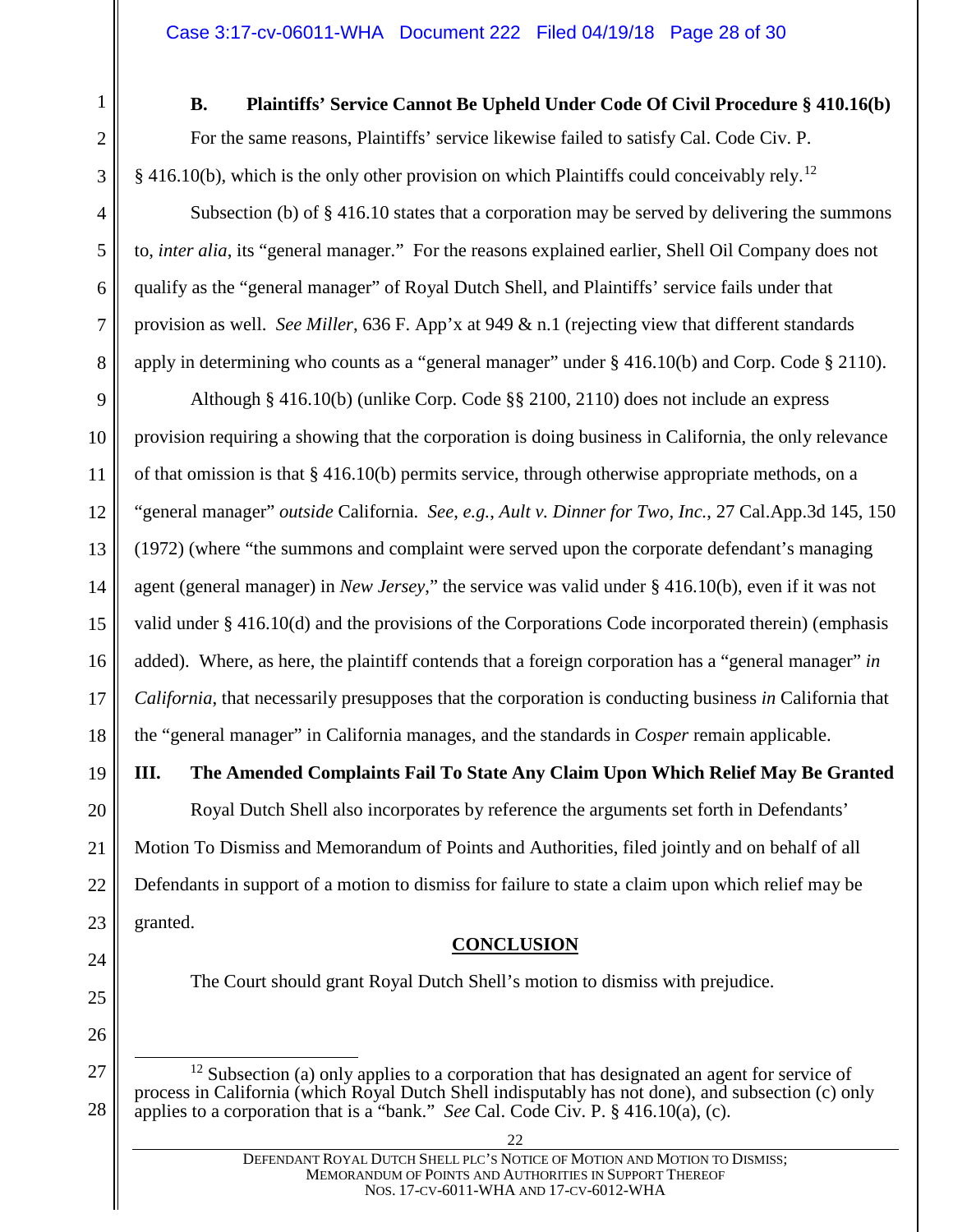<span id="page-27-0"></span>

2

3

4

5

6

7

8

### **B. Plaintiffs' Service Cannot Be Upheld Under Code Of Civil Procedure § 410.16(b)**

For the same reasons, Plaintiffs' service likewise failed to satisfy Cal. Code Civ. P. § 416.10(b), which is the only other provision on which Plaintiffs could conceivably rely.<sup>[12](#page-27-3)</sup>

Subsection (b) of  $\S$  416.10 states that a corporation may be served by delivering the summons to, *inter alia*, its "general manager." For the reasons explained earlier, Shell Oil Company does not qualify as the "general manager" of Royal Dutch Shell, and Plaintiffs' service fails under that provision as well. *See Miller*, 636 F. App'x at 949 & n.1 (rejecting view that different standards apply in determining who counts as a "general manager" under § 416.10(b) and Corp. Code § 2110).

9 10 11 12 13 14 15 16 17 18 Although § 416.10(b) (unlike Corp. Code §§ 2100, 2110) does not include an express provision requiring a showing that the corporation is doing business in California, the only relevance of that omission is that § 416.10(b) permits service, through otherwise appropriate methods, on a "general manager" *outside* California. *See*, *e.g.*, *Ault v. Dinner for Two, Inc.*, 27 Cal.App.3d 145, 150 (1972) (where "the summons and complaint were served upon the corporate defendant's managing agent (general manager) in *New Jersey*," the service was valid under § 416.10(b), even if it was not valid under § 416.10(d) and the provisions of the Corporations Code incorporated therein) (emphasis added). Where, as here, the plaintiff contends that a foreign corporation has a "general manager" *in California*, that necessarily presupposes that the corporation is conducting business *in* California that the "general manager" in California manages, and the standards in *Cosper* remain applicable.

# <span id="page-27-1"></span>**III. The Amended Complaints Fail To State Any Claim Upon Which Relief May Be Granted**

Royal Dutch Shell also incorporates by reference the arguments set forth in Defendants' Motion To Dismiss and Memorandum of Points and Authorities, filed jointly and on behalf of all Defendants in support of a motion to dismiss for failure to state a claim upon which relief may be granted.

#### **CONCLUSION**

<span id="page-27-2"></span>

<span id="page-27-3"></span>28

The Court should grant Royal Dutch Shell's motion to dismiss with prejudice.

 $12$  Subsection (a) only applies to a corporation that has designated an agent for service of process in California (which Royal Dutch Shell indisputably has not done), and subsection (c) only applies to a corporation that is a "bank." *See* Cal. Code Civ. P. § 416.10(a), (c).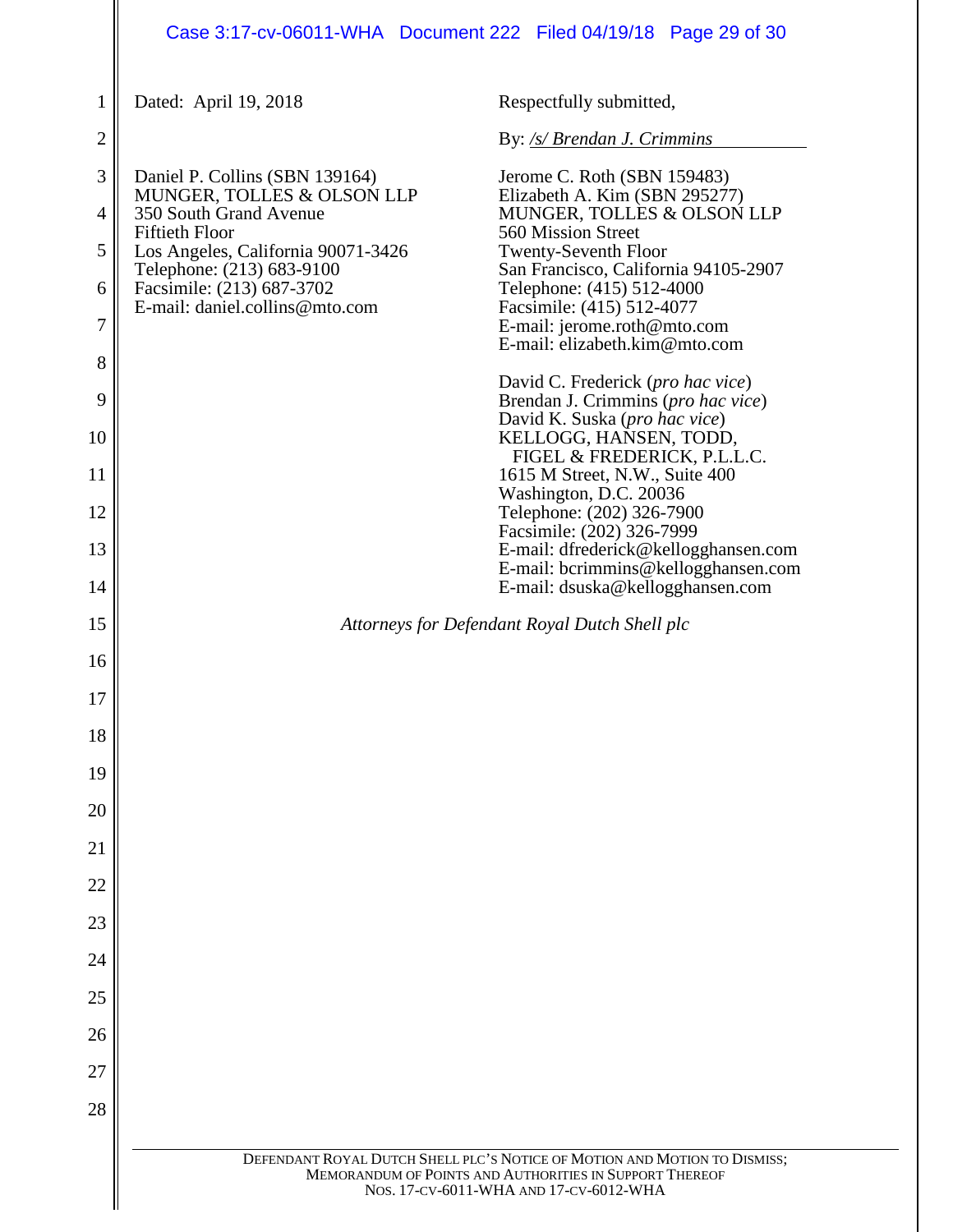# Case 3:17-cv-06011-WHA Document 222 Filed 04/19/18 Page 29 of 30

| 1                   | Dated: April 19, 2018                                                                             | Respectfully submitted,                                                                    |  |  |
|---------------------|---------------------------------------------------------------------------------------------------|--------------------------------------------------------------------------------------------|--|--|
| $\overline{2}$      |                                                                                                   | By: /s/ Brendan J. Crimmins                                                                |  |  |
| 3<br>$\overline{4}$ | Daniel P. Collins (SBN 139164)<br>MUNGER, TOLLES & OLSON LLP<br>350 South Grand Avenue            | Jerome C. Roth (SBN 159483)<br>Elizabeth A. Kim (SBN 295277)<br>MUNGER, TOLLES & OLSON LLP |  |  |
| 5                   | <b>Fiftieth Floor</b><br>Los Angeles, California 90071-3426                                       | 560 Mission Street<br><b>Twenty-Seventh Floor</b>                                          |  |  |
|                     | Telephone: (213) 683-9100                                                                         | San Francisco, California 94105-2907<br>Telephone: (415) 512-4000                          |  |  |
| 6                   | Facsimile: (213) 687-3702<br>E-mail: daniel.collins@mto.com                                       | Facsimile: (415) 512-4077                                                                  |  |  |
| 7                   |                                                                                                   | E-mail: jerome.roth@mto.com<br>E-mail: elizabeth.kim@mto.com                               |  |  |
| 8<br>9              |                                                                                                   | David C. Frederick (pro hac vice)<br>Brendan J. Crimmins (pro hac vice)                    |  |  |
| 10                  |                                                                                                   | David K. Suska (pro hac vice)<br>KELLOGG, HANSEN, TODD,                                    |  |  |
| 11                  |                                                                                                   | FIGEL & FREDERICK, P.L.L.C.<br>1615 M Street, N.W., Suite 400                              |  |  |
| 12                  |                                                                                                   | Washington, D.C. 20036<br>Telephone: (202) 326-7900                                        |  |  |
| 13                  |                                                                                                   | Facsimile: (202) 326-7999<br>E-mail: dfrederick@kellogghansen.com                          |  |  |
| 14                  |                                                                                                   | E-mail: bcrimmins@kellogghansen.com<br>E-mail: dsuska@kellogghansen.com                    |  |  |
| 15                  |                                                                                                   | Attorneys for Defendant Royal Dutch Shell plc                                              |  |  |
| 16                  |                                                                                                   |                                                                                            |  |  |
| 17                  |                                                                                                   |                                                                                            |  |  |
| 18                  |                                                                                                   |                                                                                            |  |  |
| 19                  |                                                                                                   |                                                                                            |  |  |
| 20                  |                                                                                                   |                                                                                            |  |  |
| 21                  |                                                                                                   |                                                                                            |  |  |
| 22                  |                                                                                                   |                                                                                            |  |  |
| 23                  |                                                                                                   |                                                                                            |  |  |
| 24                  |                                                                                                   |                                                                                            |  |  |
| 25                  |                                                                                                   |                                                                                            |  |  |
| 26                  |                                                                                                   |                                                                                            |  |  |
| 27                  |                                                                                                   |                                                                                            |  |  |
| 28                  |                                                                                                   |                                                                                            |  |  |
|                     |                                                                                                   | DEFENDANT ROYAL DUTCH SHELL PLC'S NOTICE OF MOTION AND MOTION TO DISMISS;                  |  |  |
|                     | MEMORANDUM OF POINTS AND AUTHORITIES IN SUPPORT THEREOF<br>NOS. 17-CV-6011-WHA AND 17-CV-6012-WHA |                                                                                            |  |  |